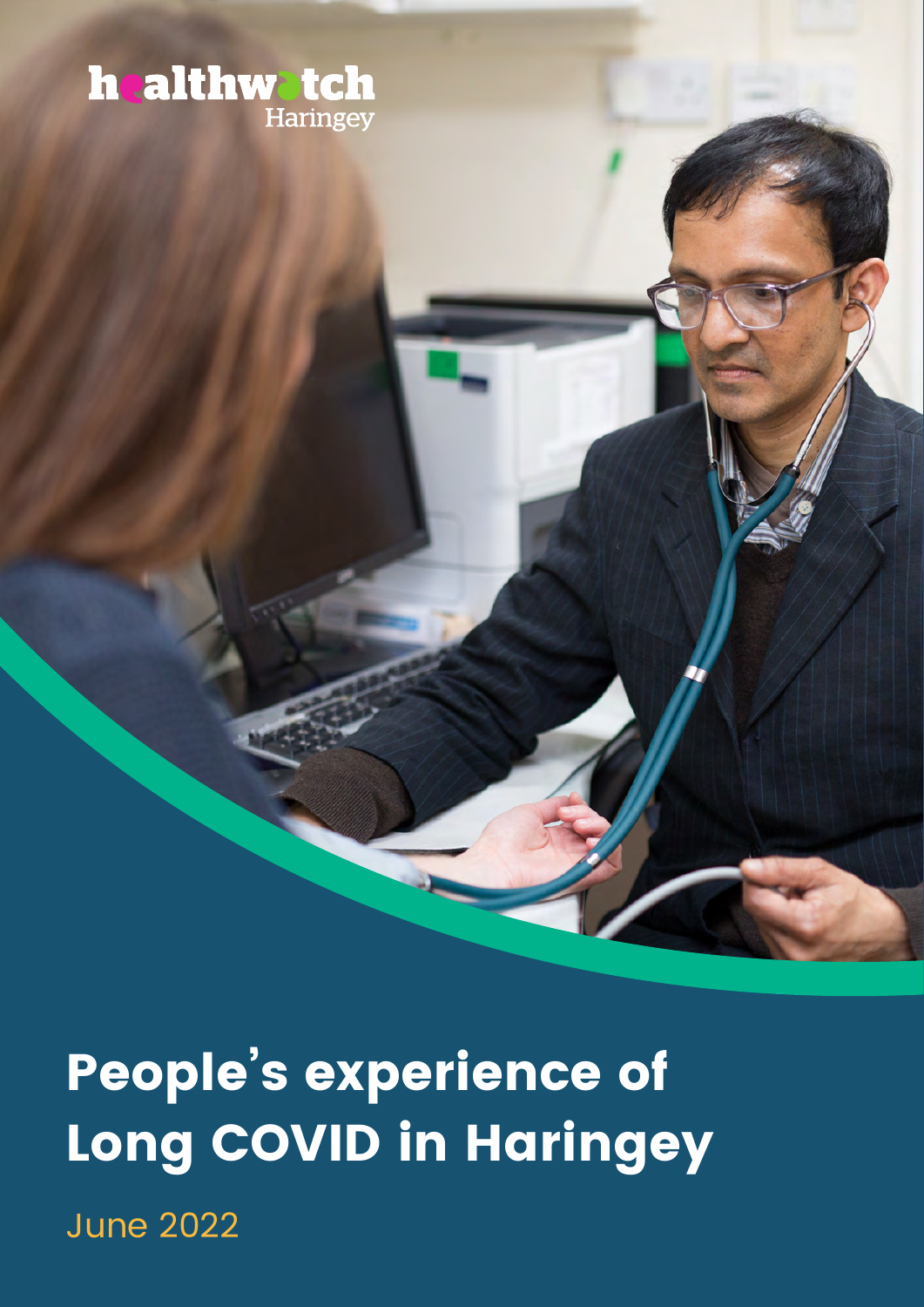### **healthwatch** Haringey

June 2022 **People's experience of Long COVID in Haringey**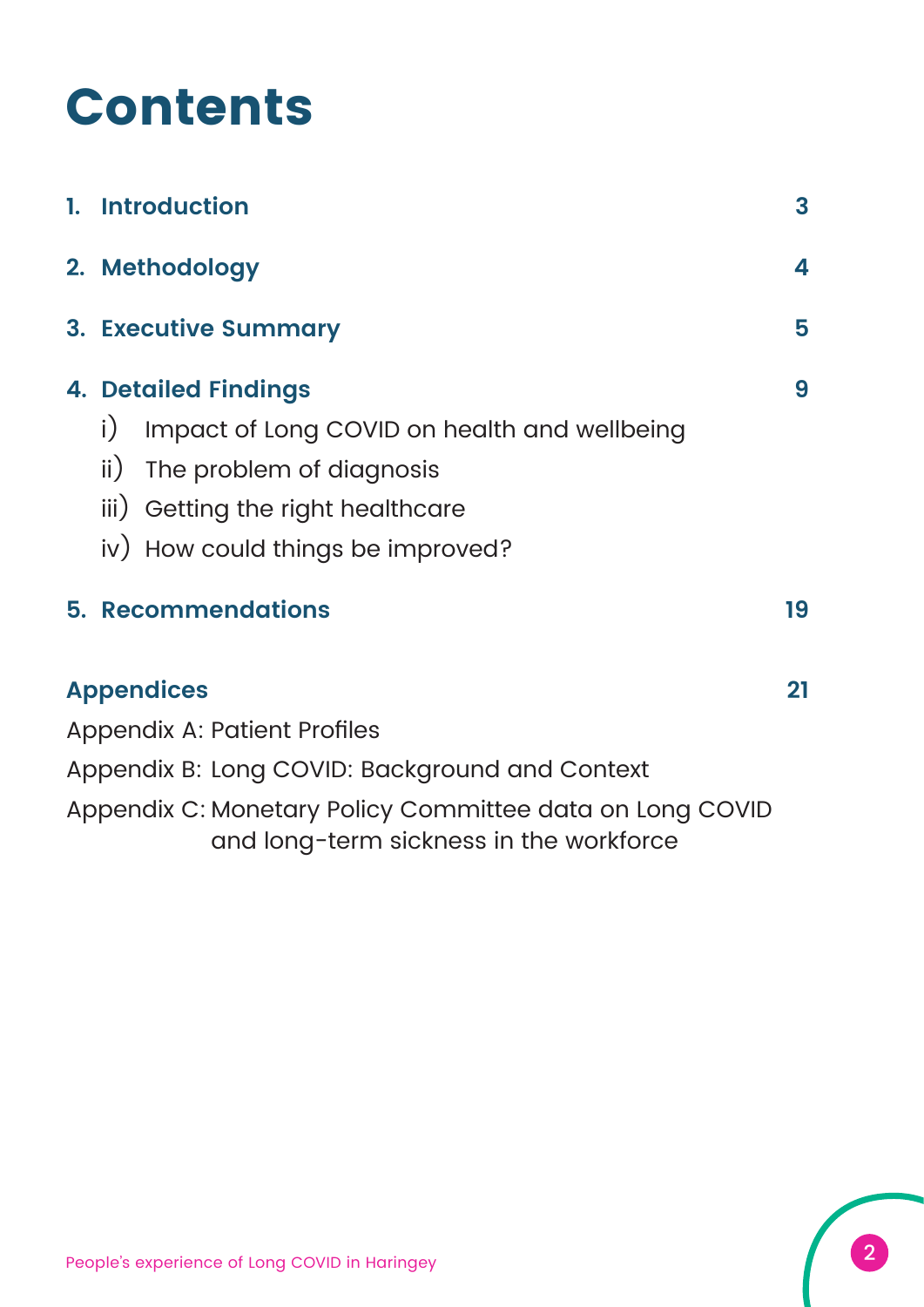# **Contents**

| 1. Introduction                                                                                     | 3  |
|-----------------------------------------------------------------------------------------------------|----|
| 2. Methodology                                                                                      | 4  |
| <b>3. Executive Summary</b>                                                                         | 5  |
| <b>4. Detailed Findings</b>                                                                         | 9  |
| $\mathsf{i}$<br>Impact of Long COVID on health and wellbeing                                        |    |
| $\mathsf{ii}$ )<br>The problem of diagnosis                                                         |    |
| iii) Getting the right healthcare                                                                   |    |
| iv) How could things be improved?                                                                   |    |
| <b>5. Recommendations</b>                                                                           | 19 |
| <b>Appendices</b>                                                                                   | 21 |
| <b>Appendix A: Patient Profiles</b>                                                                 |    |
| Appendix B: Long COVID: Background and Context                                                      |    |
| Appendix C: Monetary Policy Committee data on Long COVID<br>and long-term sickness in the workforce |    |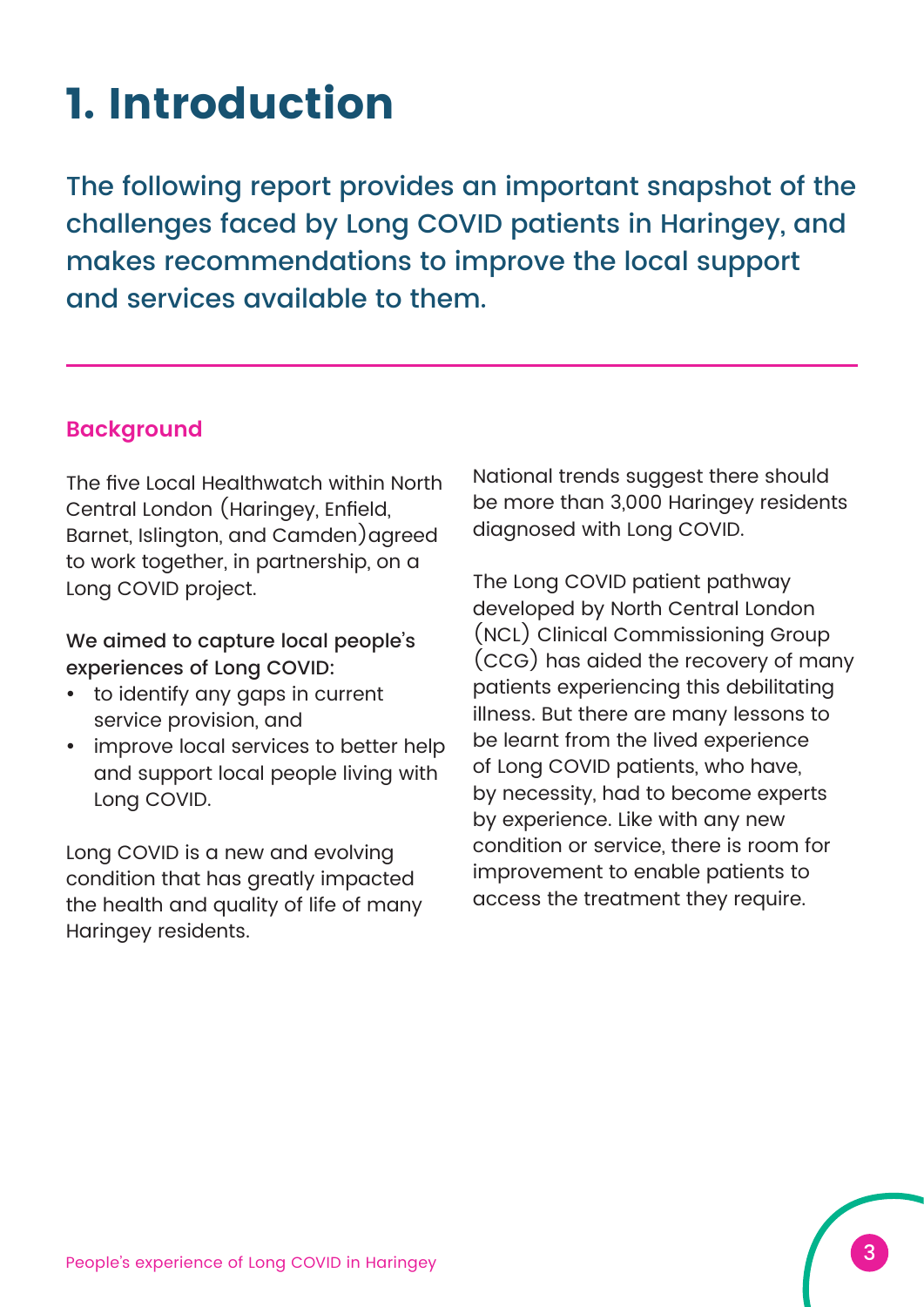### **1. Introduction**

The following report provides an important snapshot of the challenges faced by Long COVID patients in Haringey, and makes recommendations to improve the local support and services available to them.

#### **Background**

The five Local Healthwatch within North Central London (Haringey, Enfield, Barnet, Islington, and Camden)agreed to work together, in partnership, on a Long COVID project.

We aimed to capture local people's experiences of Long COVID:

- to identify any gaps in current service provision, and
- improve local services to better help and support local people living with Long COVID.

Long COVID is a new and evolving condition that has greatly impacted the health and quality of life of many Haringey residents.

National trends suggest there should be more than 3,000 Haringey residents diagnosed with Long COVID.

The Long COVID patient pathway developed by North Central London (NCL) Clinical Commissioning Group (CCG) has aided the recovery of many patients experiencing this debilitating illness. But there are many lessons to be learnt from the lived experience of Long COVID patients, who have, by necessity, had to become experts by experience. Like with any new condition or service, there is room for improvement to enable patients to access the treatment they require.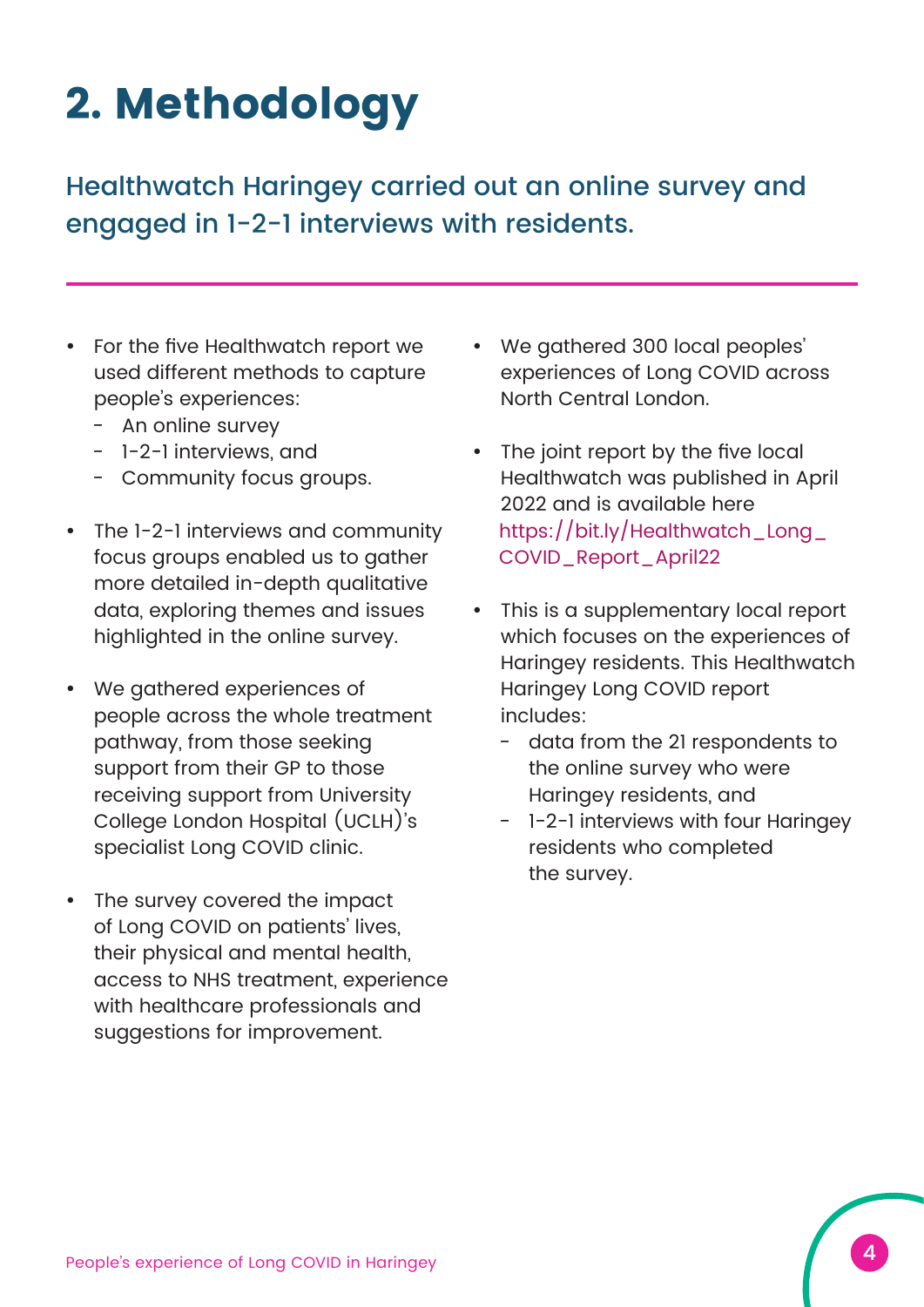# **2. Methodology**

Healthwatch Haringey carried out an online survey and engaged in 1-2-1 interviews with residents.

- For the five Healthwatch report we used different methods to capture people's experiences:
	- An online survey
	- 1-2-1 interviews, and
	- Community focus groups.
- The 1-2-1 interviews and community focus groups enabled us to gather more detailed in-depth qualitative data, exploring themes and issues highlighted in the online survey.
- We gathered experiences of people across the whole treatment pathway, from those seeking support from their GP to those receiving support from University College London Hospital (UCLH)'s specialist Long COVID clinic.
- The survey covered the impact of Long COVID on patients' lives, their physical and mental health, access to NHS treatment, experience with healthcare professionals and suggestions for improvement.
- We gathered 300 local peoples' experiences of Long COVID across North Central London.
- The joint report by the five local Healthwatch was published in April 2022 and is available here [https://bit.ly/Healthwatch\\_Long\\_](https://bit.ly/Healthwatch_Long_COVID_Report_April22) COVID\_Report\_April22
- This is a supplementary local report which focuses on the experiences of Haringey residents. This Healthwatch Haringey Long COVID report includes:
	- data from the 21 respondents to the online survey who were Haringey residents, and
	- 1-2-1 interviews with four Haringey residents who completed the survey.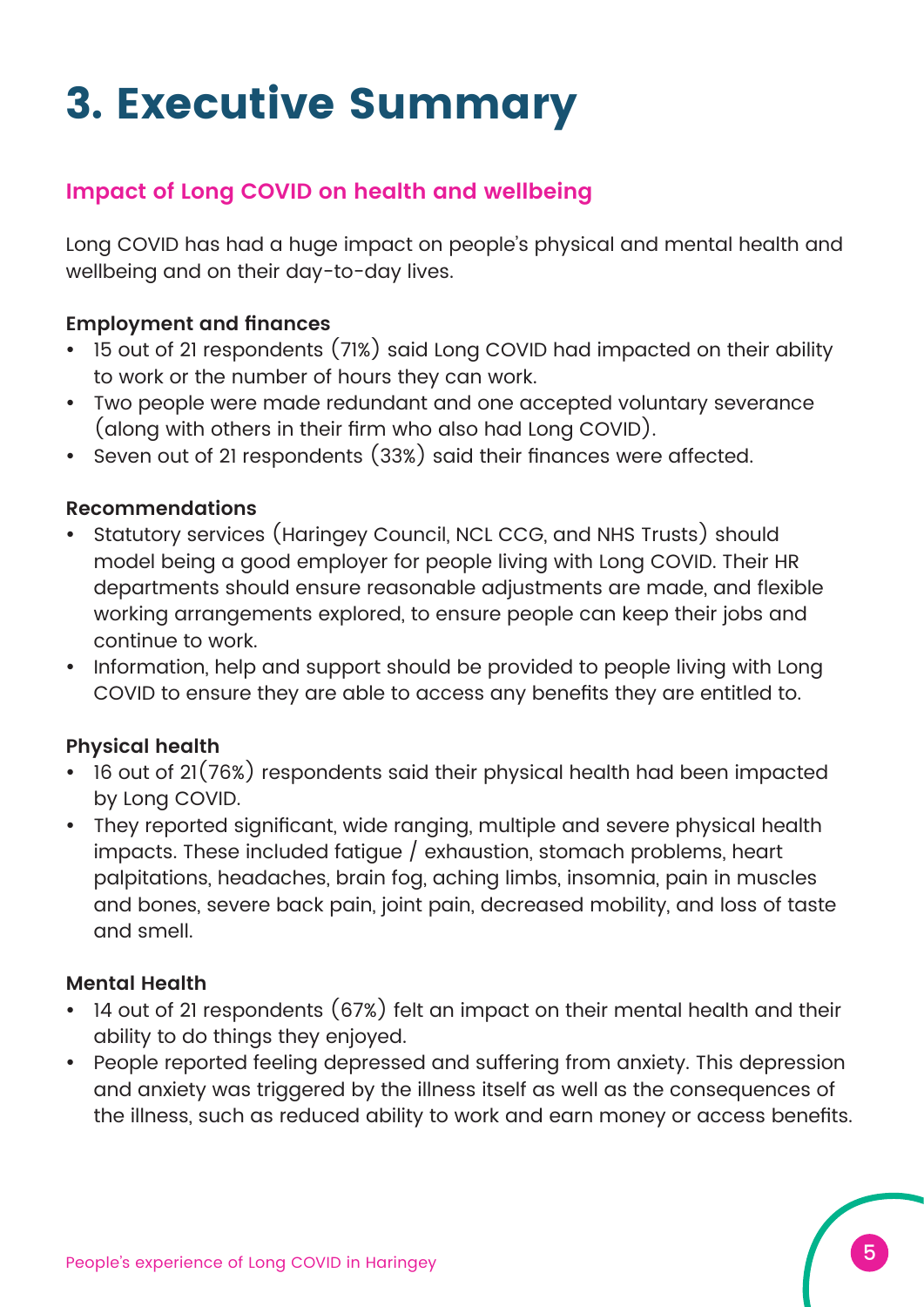# **3. Executive Summary**

#### **Impact of Long COVID on health and wellbeing**

Long COVID has had a huge impact on people's physical and mental health and wellbeing and on their day-to-day lives.

#### **Employment and finances**

- 15 out of 21 respondents (71%) said Long COVID had impacted on their ability to work or the number of hours they can work.
- Two people were made redundant and one accepted voluntary severance (along with others in their firm who also had Long COVID).
- Seven out of 21 respondents (33%) said their finances were affected.

#### **Recommendations**

- y Statutory services (Haringey Council, NCL CCG, and NHS Trusts) should model being a good employer for people living with Long COVID. Their HR departments should ensure reasonable adjustments are made, and flexible working arrangements explored, to ensure people can keep their jobs and continue to work.
- Information, help and support should be provided to people living with Long COVID to ensure they are able to access any benefits they are entitled to.

#### **Physical health**

- 16 out of 21(76%) respondents said their physical health had been impacted by Long COVID.
- They reported significant, wide ranging, multiple and severe physical health impacts. These included fatigue / exhaustion, stomach problems, heart palpitations, headaches, brain fog, aching limbs, insomnia, pain in muscles and bones, severe back pain, joint pain, decreased mobility, and loss of taste and smell.

#### **Mental Health**

- 14 out of 21 respondents (67%) felt an impact on their mental health and their ability to do things they enjoyed.
- People reported feeling depressed and suffering from anxiety. This depression and anxiety was triggered by the illness itself as well as the consequences of the illness, such as reduced ability to work and earn money or access benefits.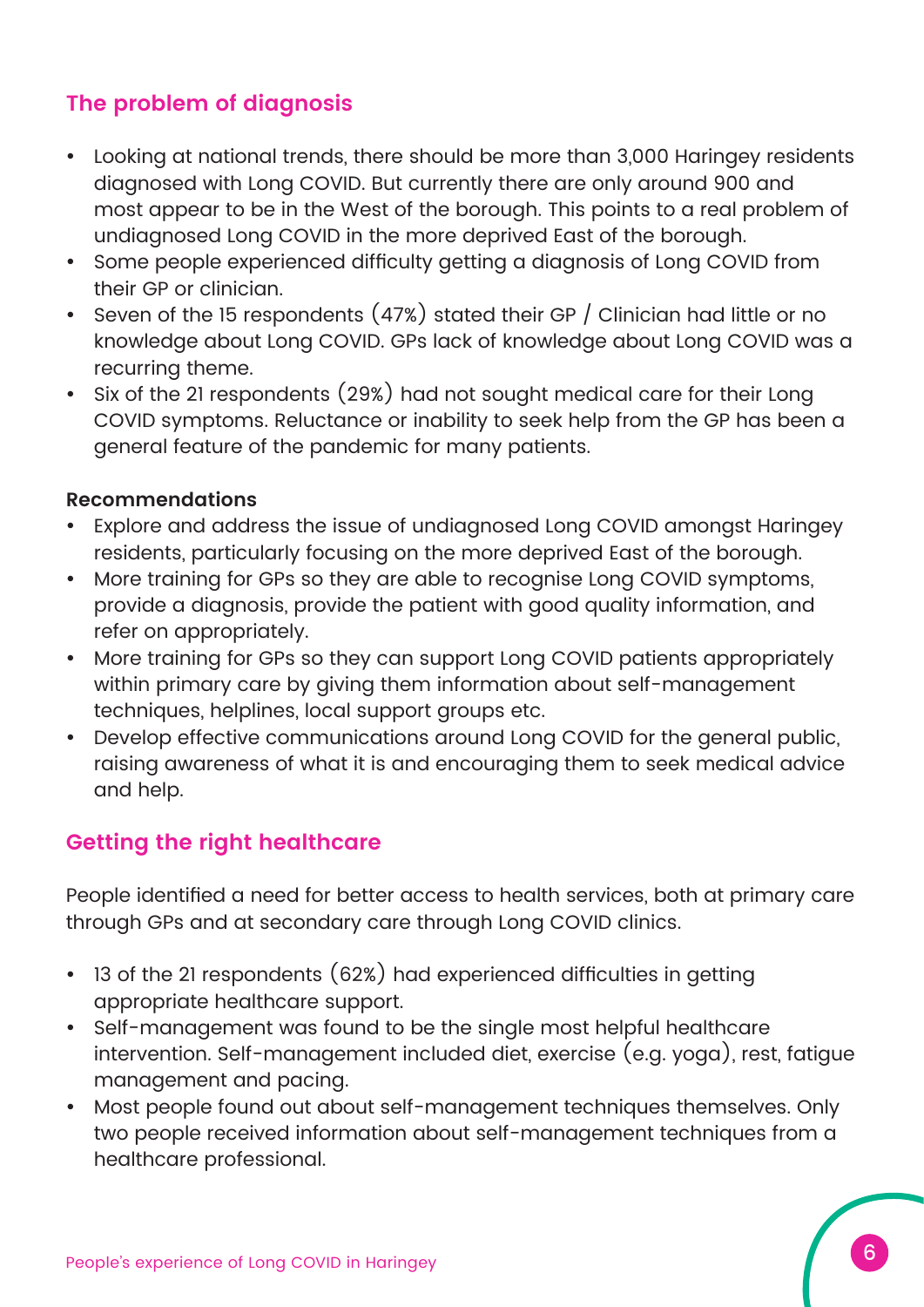### **The problem of diagnosis**

- Looking at national trends, there should be more than 3,000 Haringey residents diagnosed with Long COVID. But currently there are only around 900 and most appear to be in the West of the borough. This points to a real problem of undiagnosed Long COVID in the more deprived East of the borough.
- Some people experienced difficulty getting a diagnosis of Long COVID from their GP or clinician.
- Seven of the 15 respondents (47%) stated their GP / Clinician had little or no knowledge about Long COVID. GPs lack of knowledge about Long COVID was a recurring theme.
- Six of the 21 respondents (29%) had not sought medical care for their Long COVID symptoms. Reluctance or inability to seek help from the GP has been a general feature of the pandemic for many patients.

#### **Recommendations**

- y Explore and address the issue of undiagnosed Long COVID amongst Haringey residents, particularly focusing on the more deprived East of the borough.
- More training for GPs so they are able to recognise Long COVID symptoms, provide a diagnosis, provide the patient with good quality information, and refer on appropriately.
- More training for GPs so they can support Long COVID patients appropriately within primary care by giving them information about self-management techniques, helplines, local support groups etc.
- Develop effective communications around Long COVID for the general public, raising awareness of what it is and encouraging them to seek medical advice and help.

#### **Getting the right healthcare**

People identified a need for better access to health services, both at primary care through GPs and at secondary care through Long COVID clinics.

- 13 of the 21 respondents (62%) had experienced difficulties in getting appropriate healthcare support.
- Self-management was found to be the single most helpful healthcare intervention. Self-management included diet, exercise (e.g. yoga), rest, fatigue management and pacing.
- Most people found out about self-management techniques themselves. Only two people received information about self-management techniques from a healthcare professional.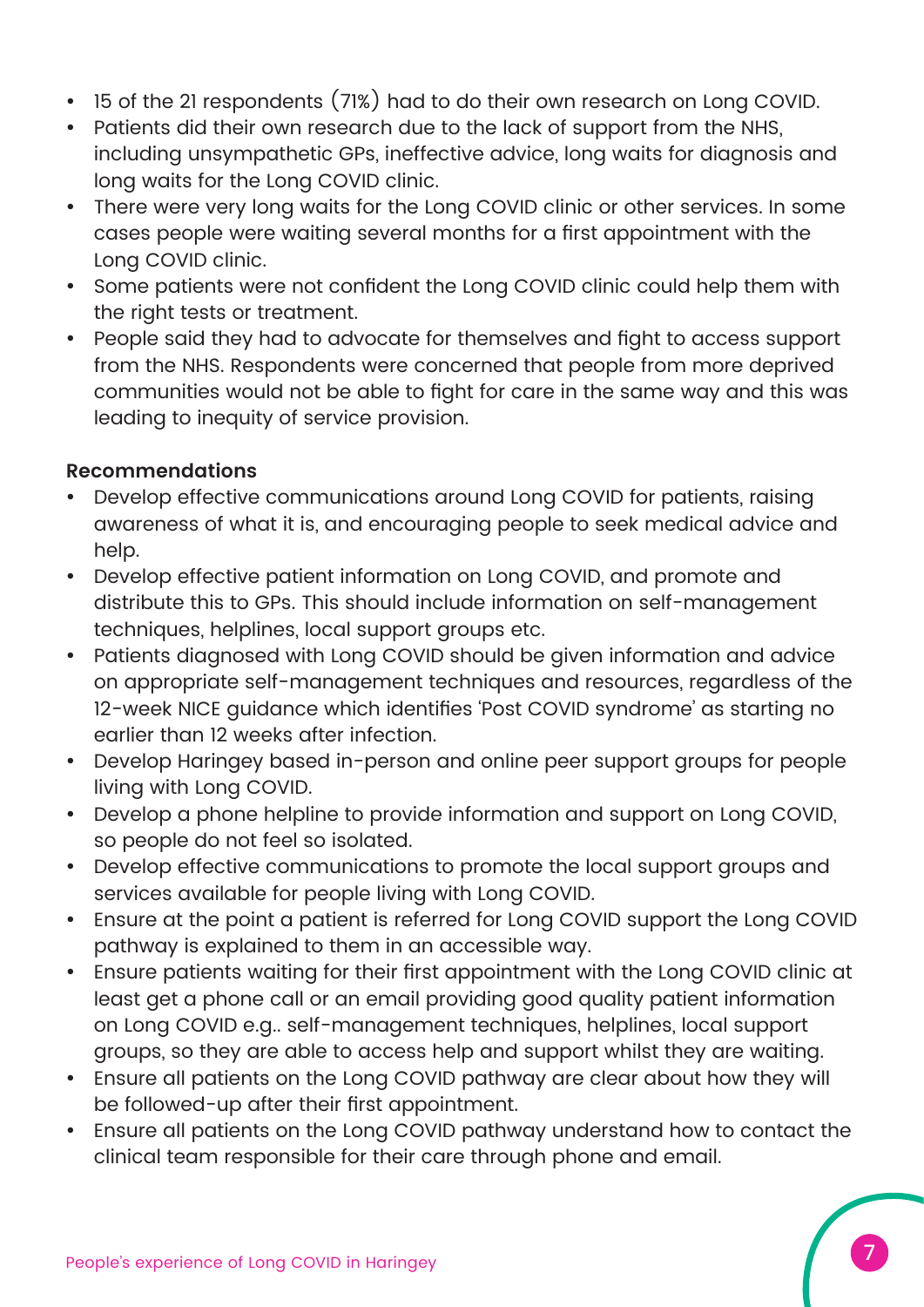- 15 of the 21 respondents (71%) had to do their own research on Long COVID.
- Patients did their own research due to the lack of support from the NHS, including unsympathetic GPs, ineffective advice, long waits for diagnosis and long waits for the Long COVID clinic.
- There were very long waits for the Long COVID clinic or other services. In some cases people were waiting several months for a first appointment with the Long COVID clinic.
- Some patients were not confident the Long COVID clinic could help them with the right tests or treatment.
- People said they had to advocate for themselves and fight to access support from the NHS. Respondents were concerned that people from more deprived communities would not be able to fight for care in the same way and this was leading to inequity of service provision.

#### **Recommendations**

- Develop effective communications around Long COVID for patients, raising awareness of what it is, and encouraging people to seek medical advice and help.
- Develop effective patient information on Long COVID, and promote and distribute this to GPs. This should include information on self-management techniques, helplines, local support groups etc.
- Patients diagnosed with Long COVID should be given information and advice on appropriate self-management techniques and resources, regardless of the 12-week NICE guidance which identifies 'Post COVID syndrome' as starting no earlier than 12 weeks after infection.
- Develop Haringey based in-person and online peer support groups for people living with Long COVID.
- Develop a phone helpline to provide information and support on Long COVID, so people do not feel so isolated.
- Develop effective communications to promote the local support groups and services available for people living with Long COVID.
- Ensure at the point a patient is referred for Long COVID support the Long COVID pathway is explained to them in an accessible way.
- Ensure patients waiting for their first appointment with the Long COVID clinic at least get a phone call or an email providing good quality patient information on Long COVID e.g.. self-management techniques, helplines, local support groups, so they are able to access help and support whilst they are waiting.
- Ensure all patients on the Long COVID pathway are clear about how they will be followed-up after their first appointment.
- Ensure all patients on the Long COVID pathway understand how to contact the clinical team responsible for their care through phone and email.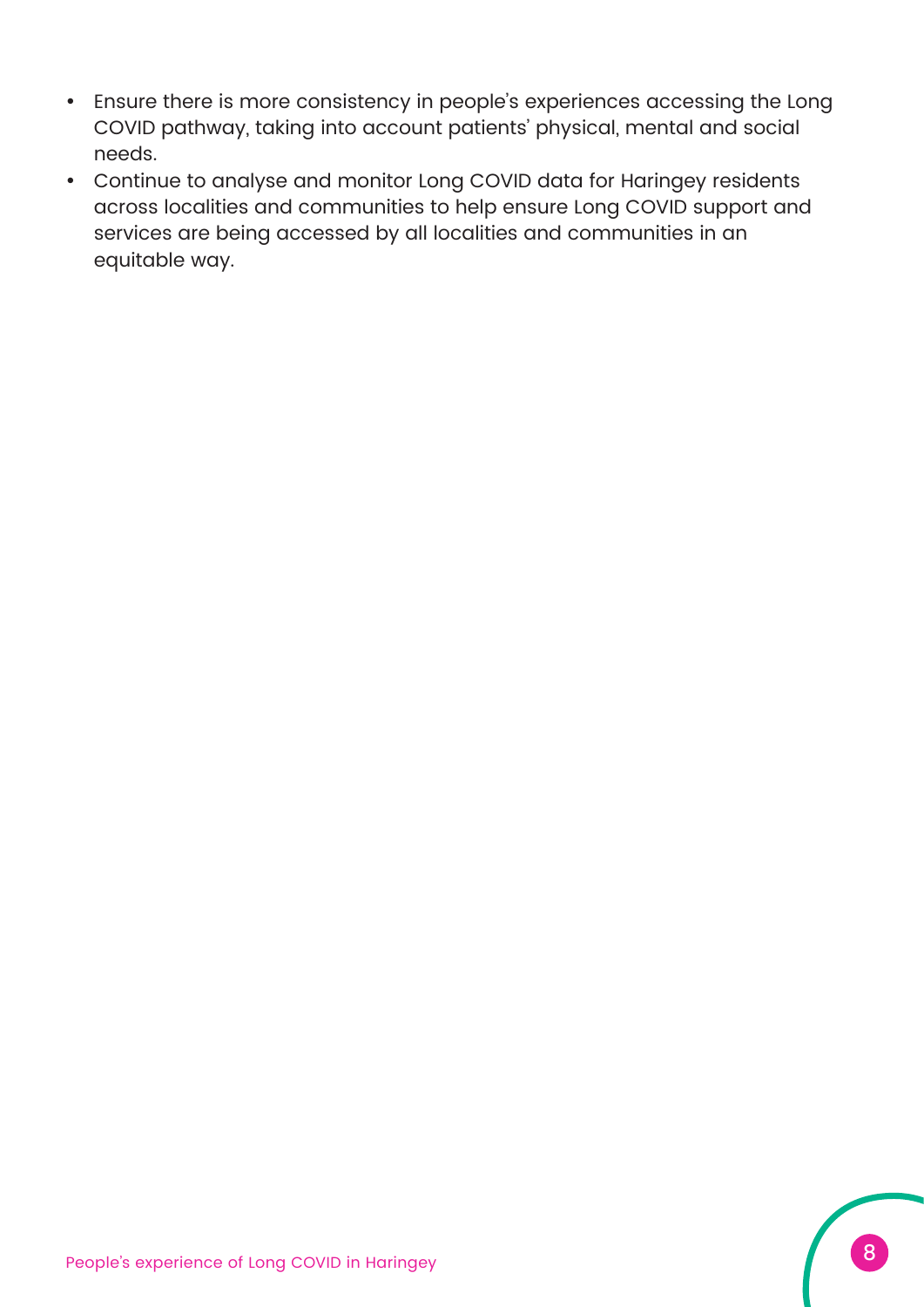- Ensure there is more consistency in people's experiences accessing the Long COVID pathway, taking into account patients' physical, mental and social needs.
- Continue to analyse and monitor Long COVID data for Haringey residents across localities and communities to help ensure Long COVID support and services are being accessed by all localities and communities in an equitable way.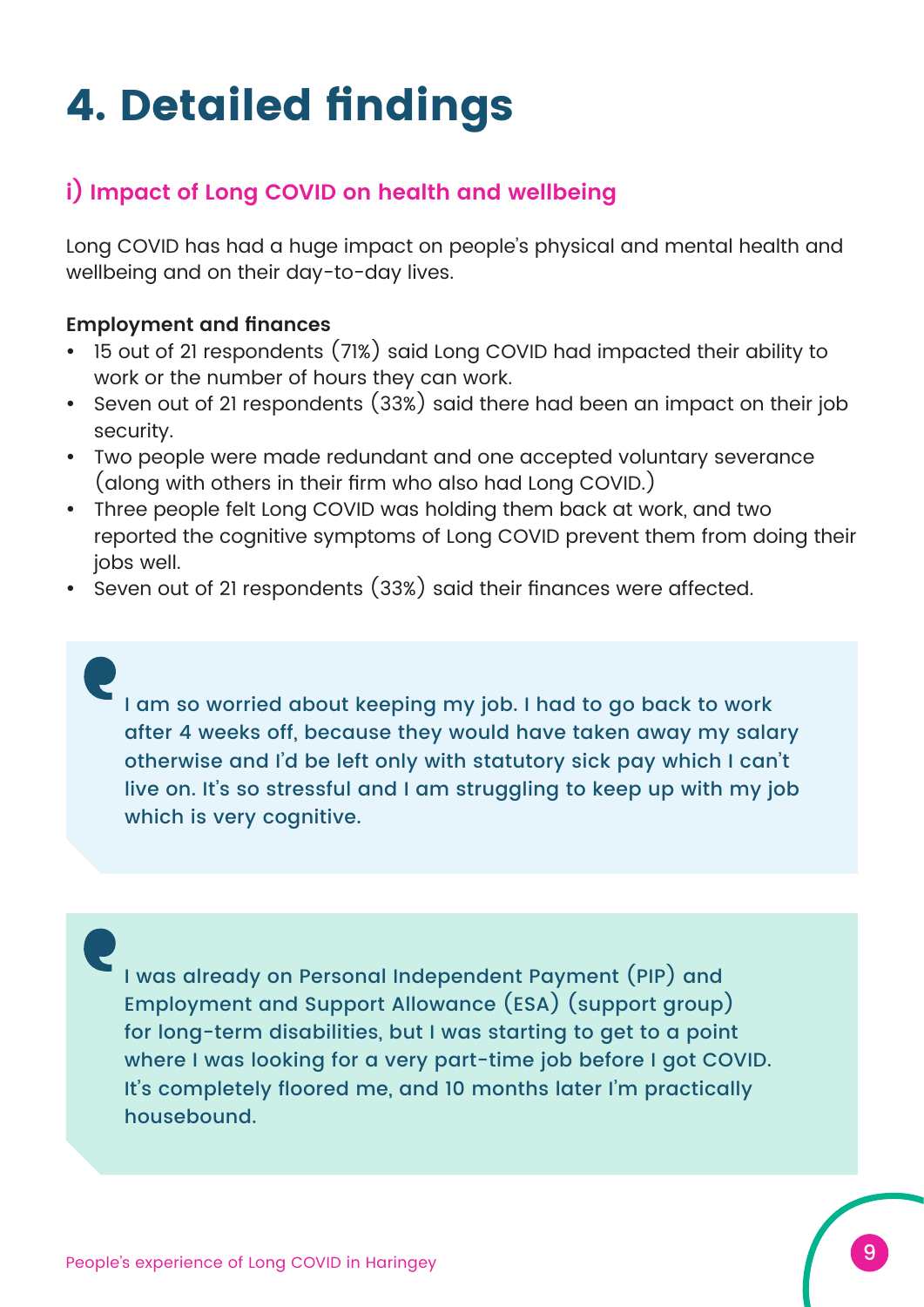# **4. Detailed findings**

### **i) Impact of Long COVID on health and wellbeing**

Long COVID has had a huge impact on people's physical and mental health and wellbeing and on their day-to-day lives.

#### **Employment and finances**

- 15 out of 21 respondents (71%) said Long COVID had impacted their ability to work or the number of hours they can work.
- Seven out of 21 respondents (33%) said there had been an impact on their job security.
- Two people were made redundant and one accepted voluntary severance (along with others in their firm who also had Long COVID.)
- Three people felt Long COVID was holding them back at work, and two reported the cognitive symptoms of Long COVID prevent them from doing their jobs well.
- Seven out of 21 respondents (33%) said their finances were affected.

I am so worried about keeping my job. I had to go back to work after 4 weeks off, because they would have taken away my salary otherwise and I'd be left only with statutory sick pay which I can't live on. It's so stressful and I am struggling to keep up with my job which is very cognitive.

I was already on Personal Independent Payment (PIP) and Employment and Support Allowance (ESA) (support group) for long-term disabilities, but I was starting to get to a point where I was looking for a very part-time job before I got COVID. It's completely floored me, and 10 months later I'm practically housebound.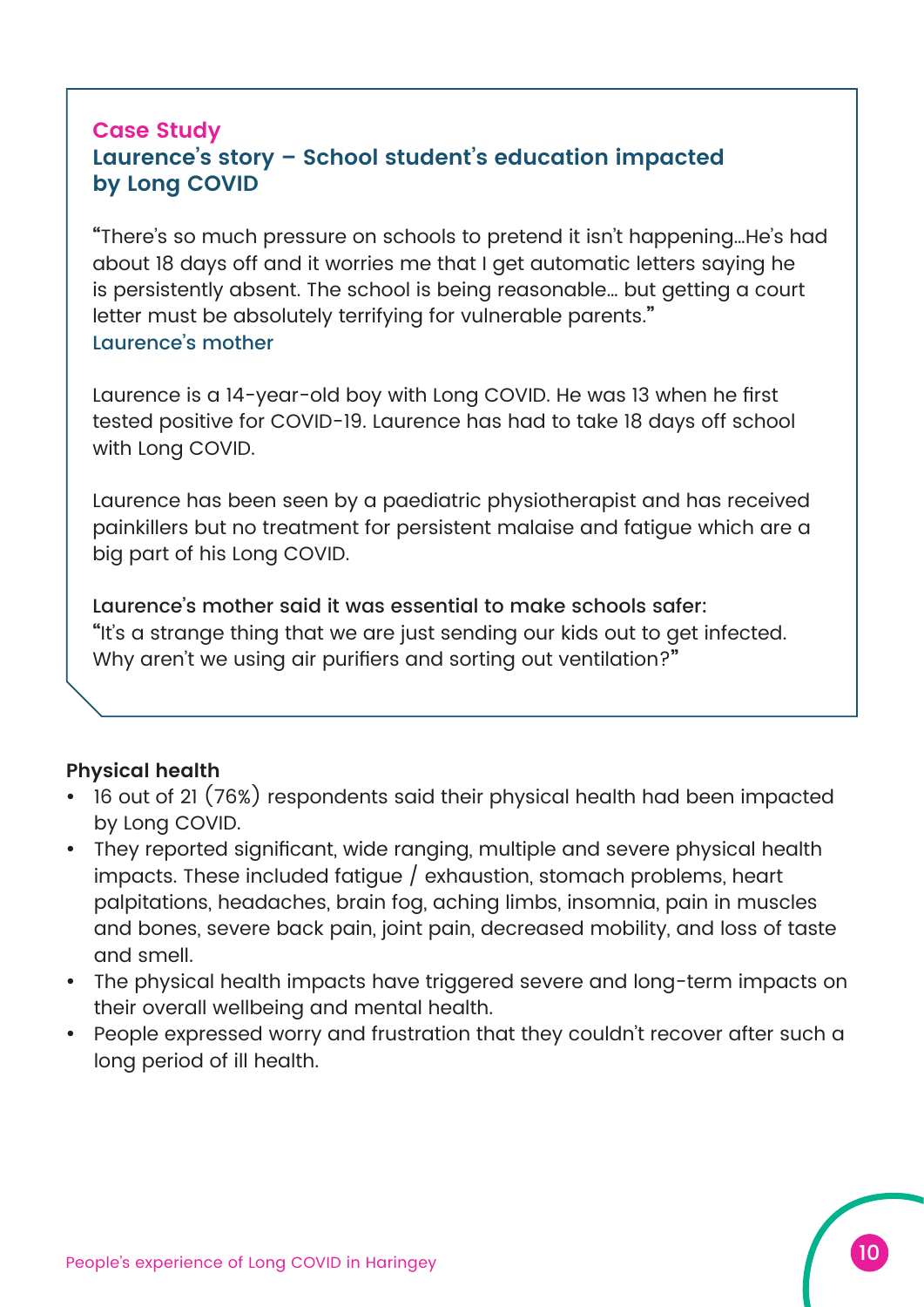#### **Case Study Laurence's story – School student's education impacted by Long COVID**

**"**There's so much pressure on schools to pretend it isn't happening…He's had about 18 days off and it worries me that I get automatic letters saying he is persistently absent. The school is being reasonable… but getting a court letter must be absolutely terrifying for vulnerable parents.**"** Laurence's mother

Laurence is a 14-year-old boy with Long COVID. He was 13 when he first tested positive for COVID-19. Laurence has had to take 18 days off school with Long COVID.

Laurence has been seen by a paediatric physiotherapist and has received painkillers but no treatment for persistent malaise and fatigue which are a big part of his Long COVID.

Laurence's mother said it was essential to make schools safer: **"**It's a strange thing that we are just sending our kids out to get infected. Why aren't we using air purifiers and sorting out ventilation?**"**

#### **Physical health**

- 16 out of 21 (76%) respondents said their physical health had been impacted by Long COVID.
- They reported significant, wide ranging, multiple and severe physical health impacts. These included fatigue / exhaustion, stomach problems, heart palpitations, headaches, brain fog, aching limbs, insomnia, pain in muscles and bones, severe back pain, joint pain, decreased mobility, and loss of taste and smell.
- The physical health impacts have triggered severe and long-term impacts on their overall wellbeing and mental health.
- People expressed worry and frustration that they couldn't recover after such a long period of ill health.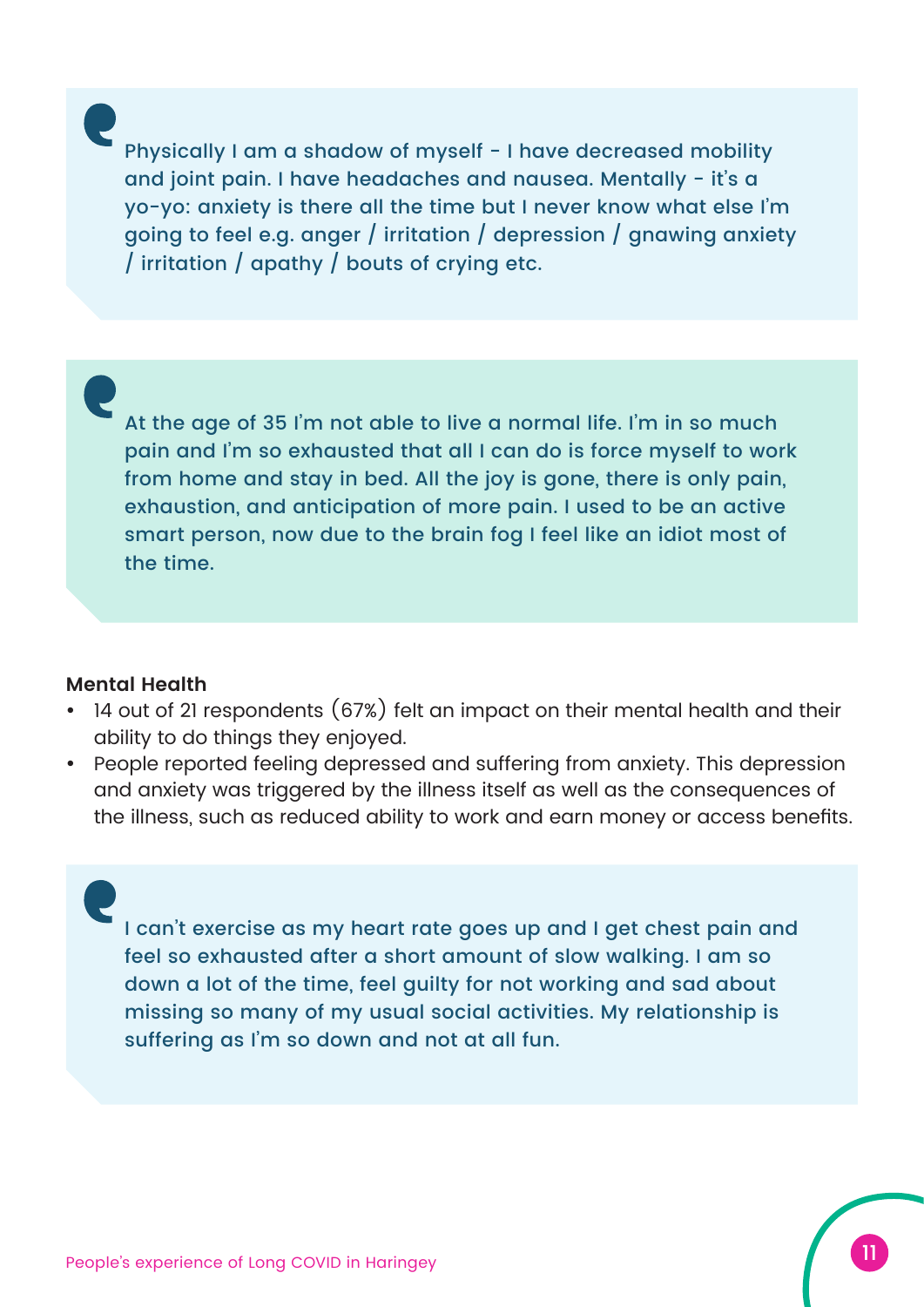Physically I am a shadow of myself - I have decreased mobility and joint pain. I have headaches and nausea. Mentally - it's a yo-yo: anxiety is there all the time but I never know what else I'm going to feel e.g. anger / irritation / depression / gnawing anxiety / irritation / apathy / bouts of crying etc.

At the age of 35 I'm not able to live a normal life. I'm in so much pain and I'm so exhausted that all I can do is force myself to work from home and stay in bed. All the joy is gone, there is only pain, exhaustion, and anticipation of more pain. I used to be an active smart person, now due to the brain fog I feel like an idiot most of the time.

#### **Mental Health**

- 14 out of 21 respondents (67%) felt an impact on their mental health and their ability to do things they enjoyed.
- People reported feeling depressed and suffering from anxiety. This depression and anxiety was triggered by the illness itself as well as the consequences of the illness, such as reduced ability to work and earn money or access benefits.

I can't exercise as my heart rate goes up and I get chest pain and feel so exhausted after a short amount of slow walking. I am so down a lot of the time, feel guilty for not working and sad about missing so many of my usual social activities. My relationship is suffering as I'm so down and not at all fun.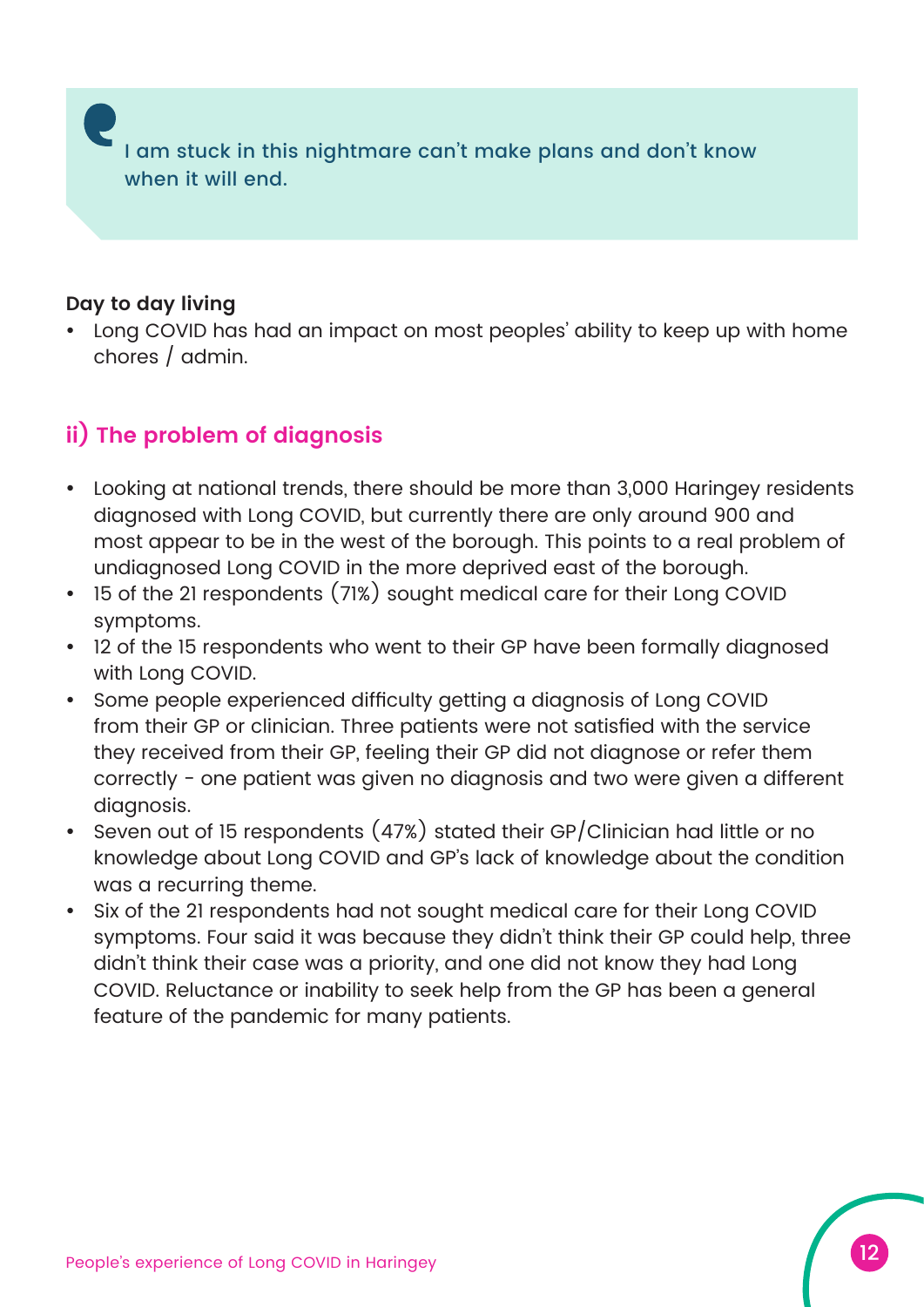I am stuck in this nightmare can't make plans and don't know when it will end.

#### **Day to day living**

• Long COVID has had an impact on most peoples' ability to keep up with home chores / admin.

#### **ii) The problem of diagnosis**

- Looking at national trends, there should be more than 3,000 Haringey residents diagnosed with Long COVID, but currently there are only around 900 and most appear to be in the west of the borough. This points to a real problem of undiagnosed Long COVID in the more deprived east of the borough.
- 15 of the 21 respondents (71%) sought medical care for their Long COVID symptoms.
- 12 of the 15 respondents who went to their GP have been formally diagnosed with Long COVID.
- Some people experienced difficulty getting a diagnosis of Long COVID from their GP or clinician. Three patients were not satisfied with the service they received from their GP, feeling their GP did not diagnose or refer them correctly - one patient was given no diagnosis and two were given a different diagnosis.
- Seven out of 15 respondents (47%) stated their GP/Clinician had little or no knowledge about Long COVID and GP's lack of knowledge about the condition was a recurring theme.
- Six of the 21 respondents had not sought medical care for their Long COVID symptoms. Four said it was because they didn't think their GP could help, three didn't think their case was a priority, and one did not know they had Long COVID. Reluctance or inability to seek help from the GP has been a general feature of the pandemic for many patients.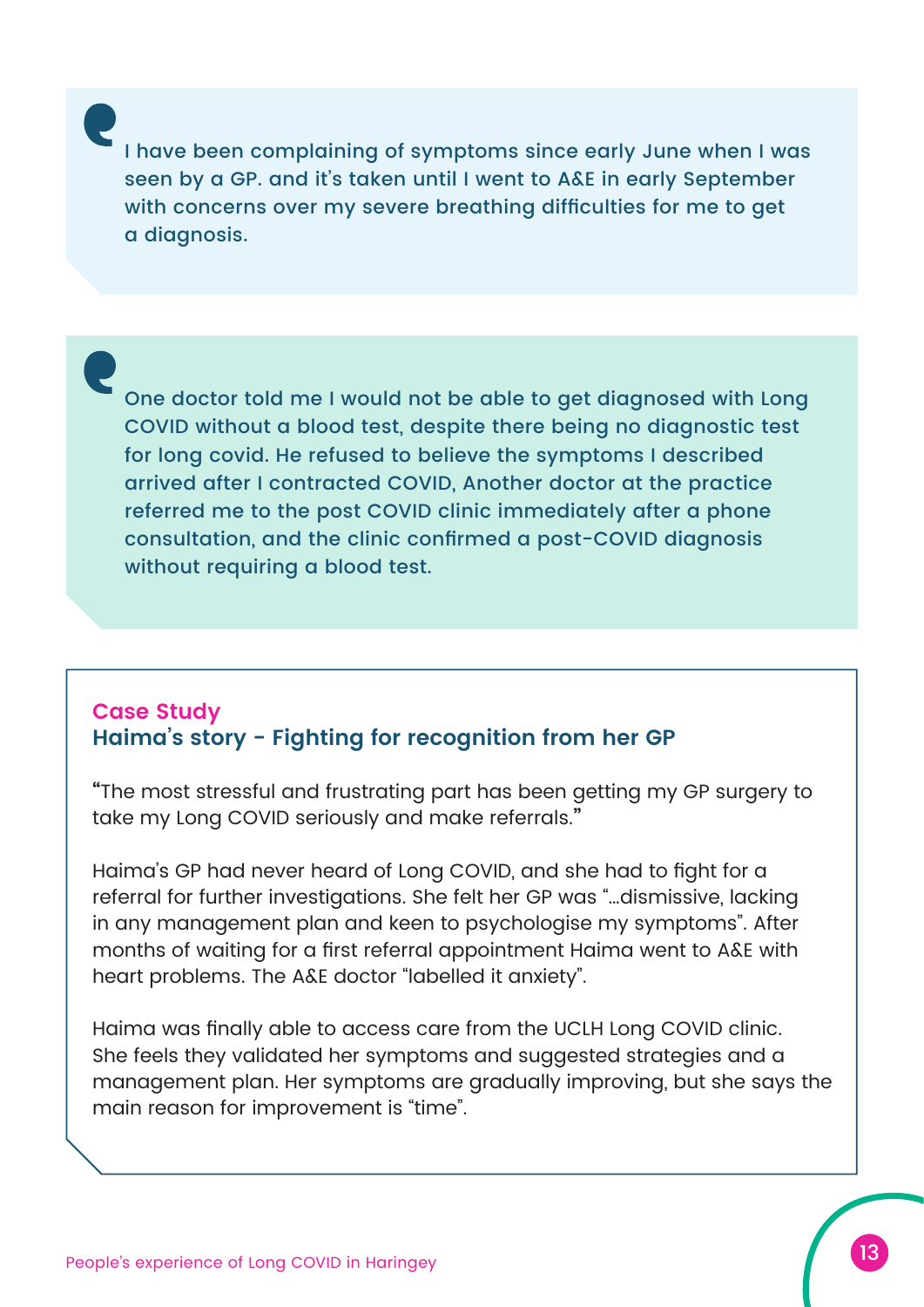I have been complaining of symptoms since early June when I was seen by a GP. and it's taken until I went to A&E in early September with concerns over my severe breathing difficulties for me to get a diagnosis.

One doctor told me I would not be able to get diagnosed with Long COVID without a blood test, despite there being no diagnostic test for long covid. He refused to believe the symptoms I described arrived after I contracted COVID, Another doctor at the practice referred me to the post COVID clinic immediately after a phone consultation, and the clinic confirmed a post-COVID diagnosis without requiring a blood test.

#### **Case Study Haima's story - Fighting for recognition from her GP**

**"**The most stressful and frustrating part has been getting my GP surgery to take my Long COVID seriously and make referrals.**"**

Haima's GP had never heard of Long COVID, and she had to fight for a referral for further investigations. She felt her GP was "…dismissive, lacking in any management plan and keen to psychologise my symptoms". After months of waiting for a first referral appointment Haima went to A&E with heart problems. The A&E doctor "labelled it anxiety".

Haima was finally able to access care from the UCLH Long COVID clinic. She feels they validated her symptoms and suggested strategies and a management plan. Her symptoms are gradually improving, but she says the main reason for improvement is "time".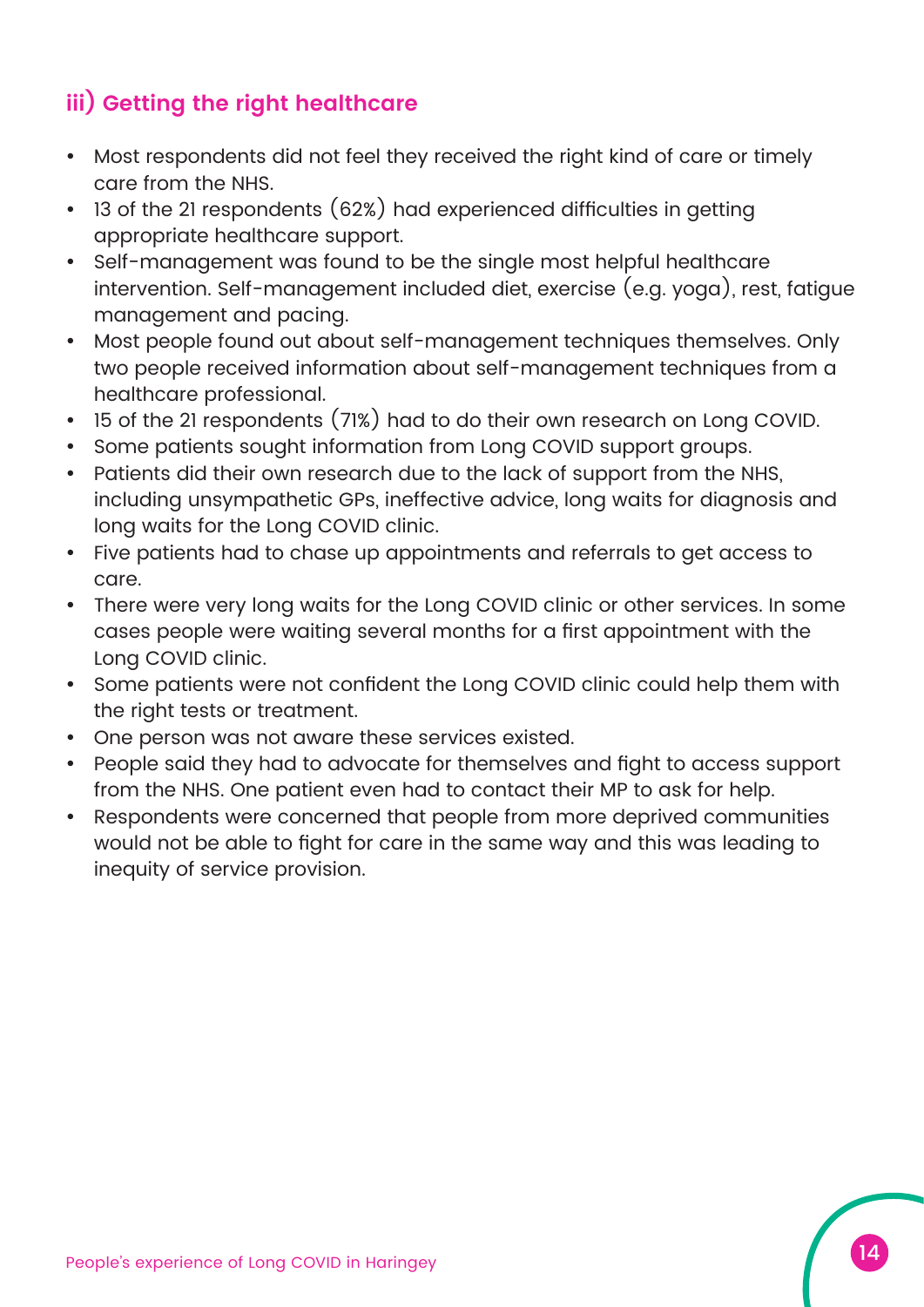### **iii) Getting the right healthcare**

- Most respondents did not feel they received the right kind of care or timely care from the NHS.
- 13 of the 21 respondents (62%) had experienced difficulties in getting appropriate healthcare support.
- Self-management was found to be the single most helpful healthcare intervention. Self-management included diet, exercise (e.g. yoga), rest, fatigue management and pacing.
- Most people found out about self-management techniques themselves. Only two people received information about self-management techniques from a healthcare professional.
- 15 of the 21 respondents (71%) had to do their own research on Long COVID.
- Some patients sought information from Long COVID support groups.
- Patients did their own research due to the lack of support from the NHS, including unsympathetic GPs, ineffective advice, long waits for diagnosis and long waits for the Long COVID clinic.
- Five patients had to chase up appointments and referrals to get access to care.
- There were very long waits for the Long COVID clinic or other services. In some cases people were waiting several months for a first appointment with the Long COVID clinic.
- Some patients were not confident the Long COVID clinic could help them with the right tests or treatment.
- One person was not aware these services existed.
- People said they had to advocate for themselves and fight to access support from the NHS. One patient even had to contact their MP to ask for help.
- Respondents were concerned that people from more deprived communities would not be able to fight for care in the same way and this was leading to inequity of service provision.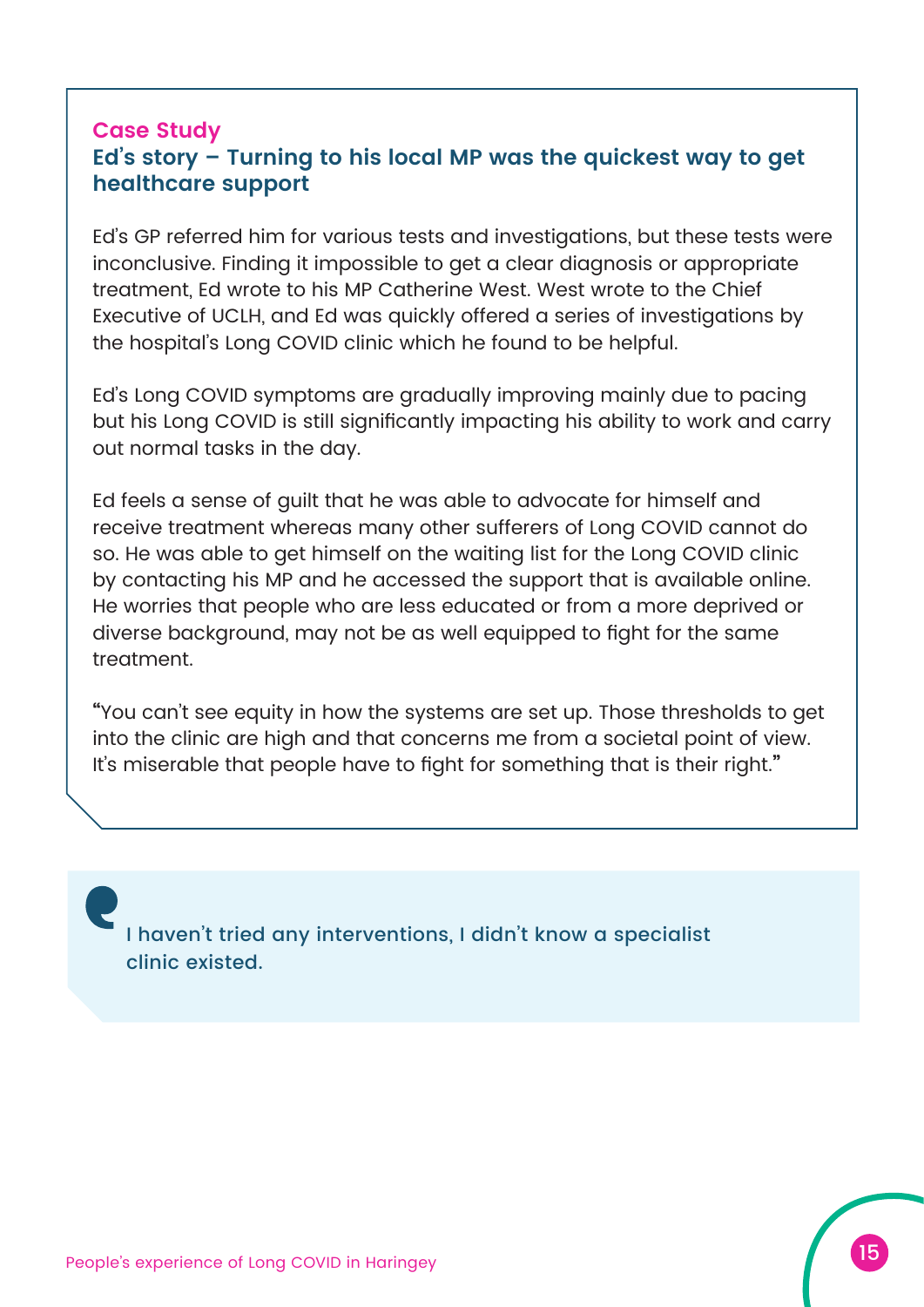#### **Case Study Ed's story – Turning to his local MP was the quickest way to get healthcare support**

Ed's GP referred him for various tests and investigations, but these tests were inconclusive. Finding it impossible to get a clear diagnosis or appropriate treatment, Ed wrote to his MP Catherine West. West wrote to the Chief Executive of UCLH, and Ed was quickly offered a series of investigations by the hospital's Long COVID clinic which he found to be helpful.

Ed's Long COVID symptoms are gradually improving mainly due to pacing but his Long COVID is still significantly impacting his ability to work and carry out normal tasks in the day.

Ed feels a sense of guilt that he was able to advocate for himself and receive treatment whereas many other sufferers of Long COVID cannot do so. He was able to get himself on the waiting list for the Long COVID clinic by contacting his MP and he accessed the support that is available online. He worries that people who are less educated or from a more deprived or diverse background, may not be as well equipped to fight for the same treatment.

**"**You can't see equity in how the systems are set up. Those thresholds to get into the clinic are high and that concerns me from a societal point of view. It's miserable that people have to fight for something that is their right.**"**

I haven't tried any interventions, I didn't know a specialist clinic existed.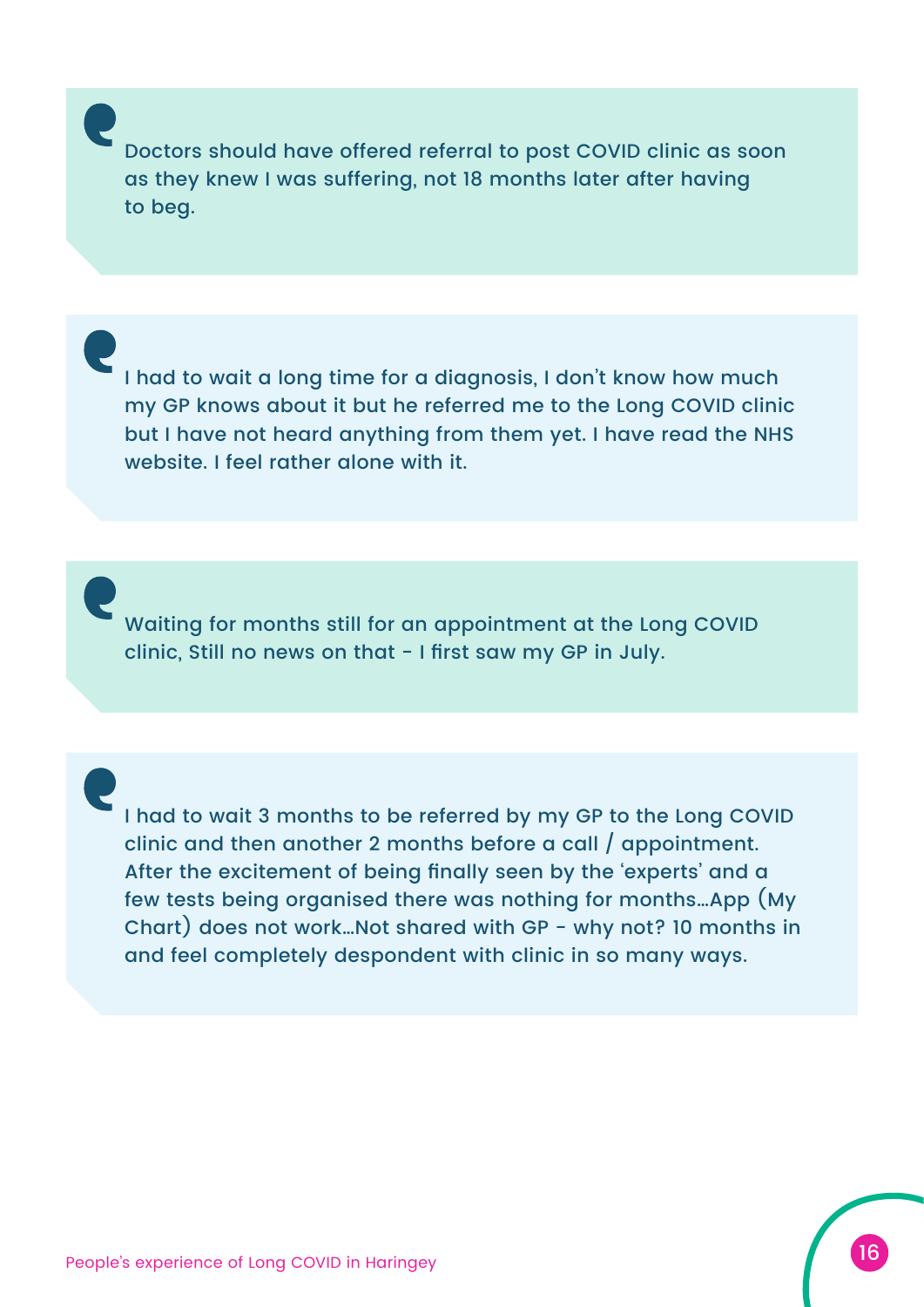Doctors should have offered referral to post COVID clinic as soon as they knew I was suffering, not 18 months later after having to beg.

I had to wait a long time for a diagnosis, I don't know how much my GP knows about it but he referred me to the Long COVID clinic but I have not heard anything from them yet. I have read the NHS website. I feel rather alone with it.

Waiting for months still for an appointment at the Long COVID clinic, Still no news on that - I first saw my GP in July.

I had to wait 3 months to be referred by my GP to the Long COVID clinic and then another 2 months before a call / appointment. After the excitement of being finally seen by the 'experts' and a few tests being organised there was nothing for months…App (My Chart) does not work…Not shared with GP - why not? 10 months in and feel completely despondent with clinic in so many ways.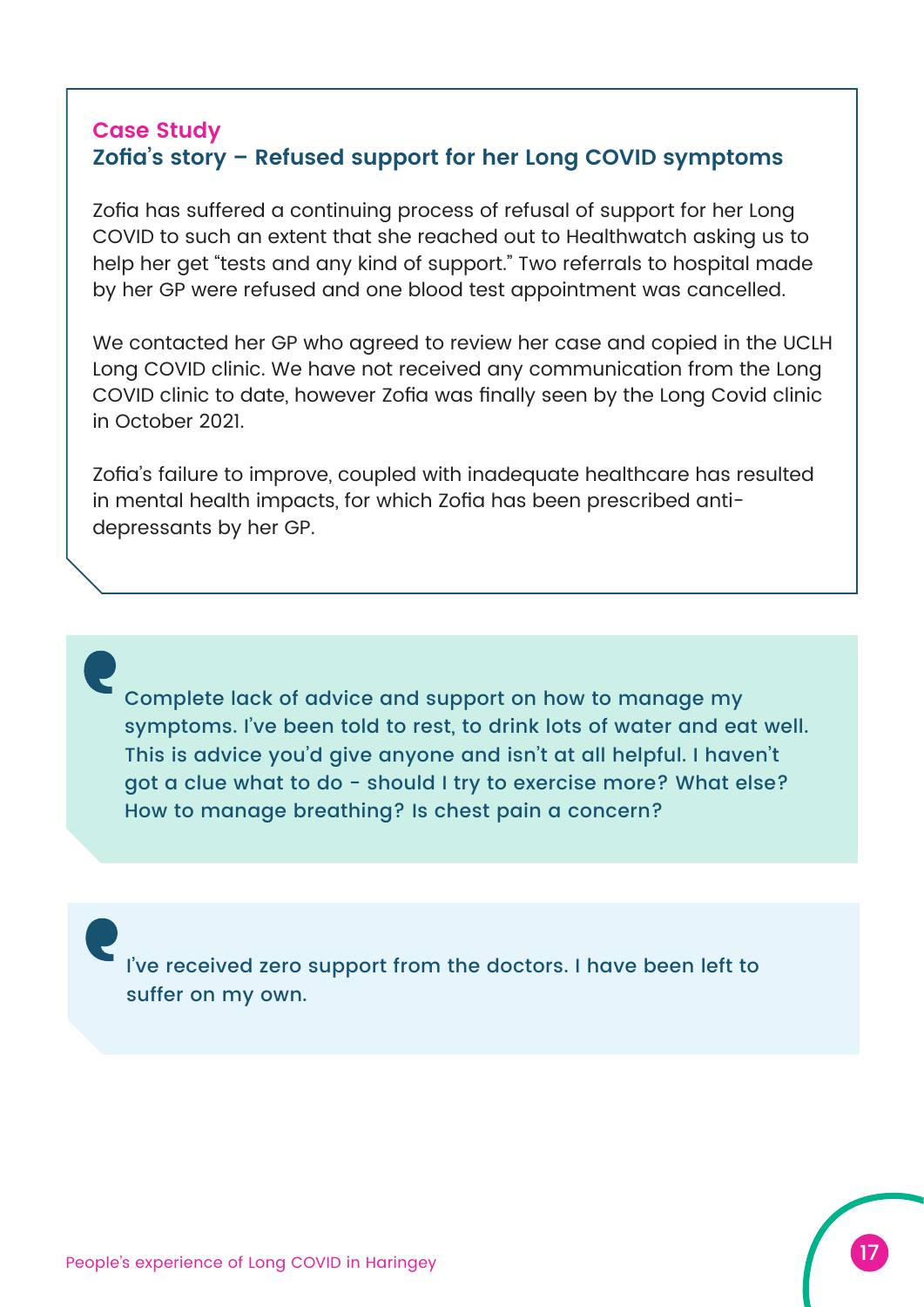#### **Case Study Zofia's story – Refused support for her Long COVID symptoms**

Zofia has suffered a continuing process of refusal of support for her Long COVID to such an extent that she reached out to Healthwatch asking us to help her get "tests and any kind of support." Two referrals to hospital made by her GP were refused and one blood test appointment was cancelled.

We contacted her GP who agreed to review her case and copied in the UCLH Long COVID clinic. We have not received any communication from the Long COVID clinic to date, however Zofia was finally seen by the Long Covid clinic in October 2021.

Zofia's failure to improve, coupled with inadequate healthcare has resulted in mental health impacts, for which Zofia has been prescribed antidepressants by her GP.

Complete lack of advice and support on how to manage my symptoms. I've been told to rest, to drink lots of water and eat well. This is advice you'd give anyone and isn't at all helpful. I haven't got a clue what to do - should I try to exercise more? What else? How to manage breathing? Is chest pain a concern?

I've received zero support from the doctors. I have been left to suffer on my own.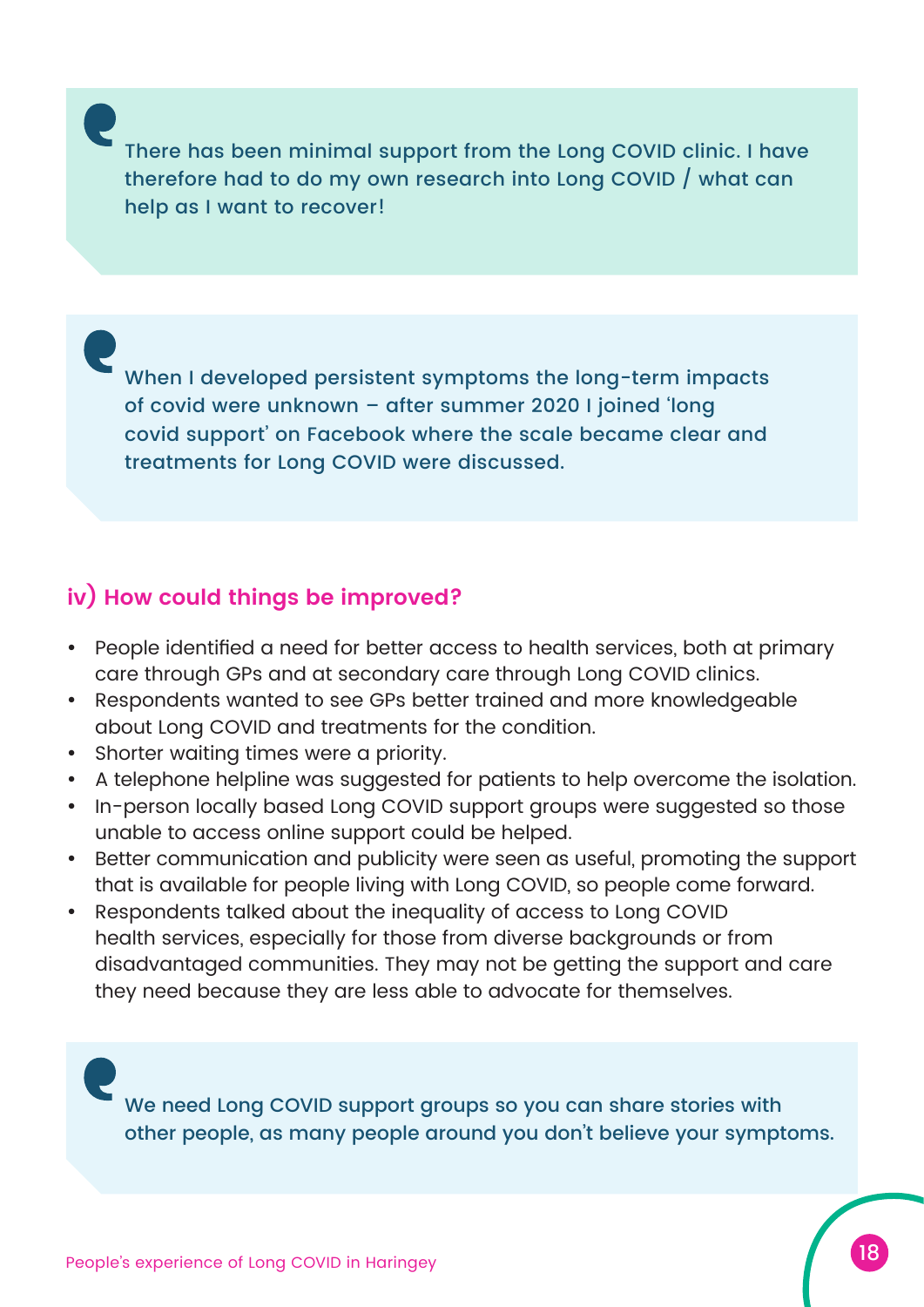There has been minimal support from the Long COVID clinic. I have therefore had to do my own research into Long COVID / what can help as I want to recover!

When I developed persistent symptoms the long-term impacts of covid were unknown – after summer 2020 I joined 'long covid support' on Facebook where the scale became clear and treatments for Long COVID were discussed.

#### **iv) How could things be improved?**

- People identified a need for better access to health services, both at primary care through GPs and at secondary care through Long COVID clinics.
- Respondents wanted to see GPs better trained and more knowledgeable about Long COVID and treatments for the condition.
- Shorter waiting times were a priority.
- A telephone helpline was suggested for patients to help overcome the isolation.
- In-person locally based Long COVID support groups were suggested so those unable to access online support could be helped.
- Better communication and publicity were seen as useful, promoting the support that is available for people living with Long COVID, so people come forward.
- Respondents talked about the inequality of access to Long COVID health services, especially for those from diverse backgrounds or from disadvantaged communities. They may not be getting the support and care they need because they are less able to advocate for themselves.

We need Long COVID support groups so you can share stories with other people, as many people around you don't believe your symptoms.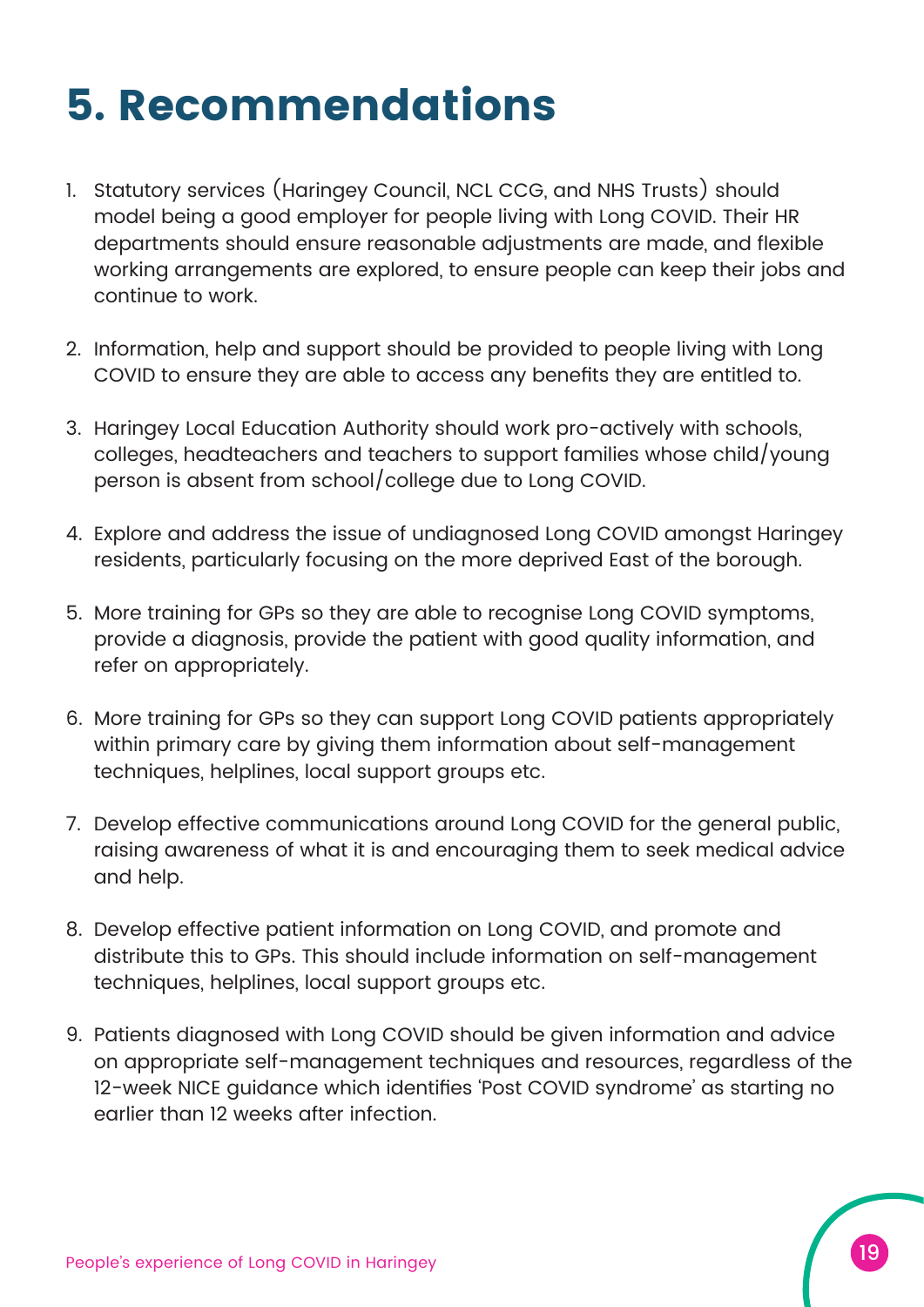### **5. Recommendations**

- 1. Statutory services (Haringey Council, NCL CCG, and NHS Trusts) should model being a good employer for people living with Long COVID. Their HR departments should ensure reasonable adjustments are made, and flexible working arrangements are explored, to ensure people can keep their jobs and continue to work.
- 2. Information, help and support should be provided to people living with Long COVID to ensure they are able to access any benefits they are entitled to.
- 3. Haringey Local Education Authority should work pro-actively with schools, colleges, headteachers and teachers to support families whose child/young person is absent from school/college due to Long COVID.
- 4. Explore and address the issue of undiagnosed Long COVID amongst Haringey residents, particularly focusing on the more deprived East of the borough.
- 5. More training for GPs so they are able to recognise Long COVID symptoms, provide a diagnosis, provide the patient with good quality information, and refer on appropriately.
- 6. More training for GPs so they can support Long COVID patients appropriately within primary care by giving them information about self-management techniques, helplines, local support groups etc.
- 7. Develop effective communications around Long COVID for the general public, raising awareness of what it is and encouraging them to seek medical advice and help.
- 8. Develop effective patient information on Long COVID, and promote and distribute this to GPs. This should include information on self-management techniques, helplines, local support groups etc.
- 9. Patients diagnosed with Long COVID should be given information and advice on appropriate self-management techniques and resources, regardless of the 12-week NICE guidance which identifies 'Post COVID syndrome' as starting no earlier than 12 weeks after infection.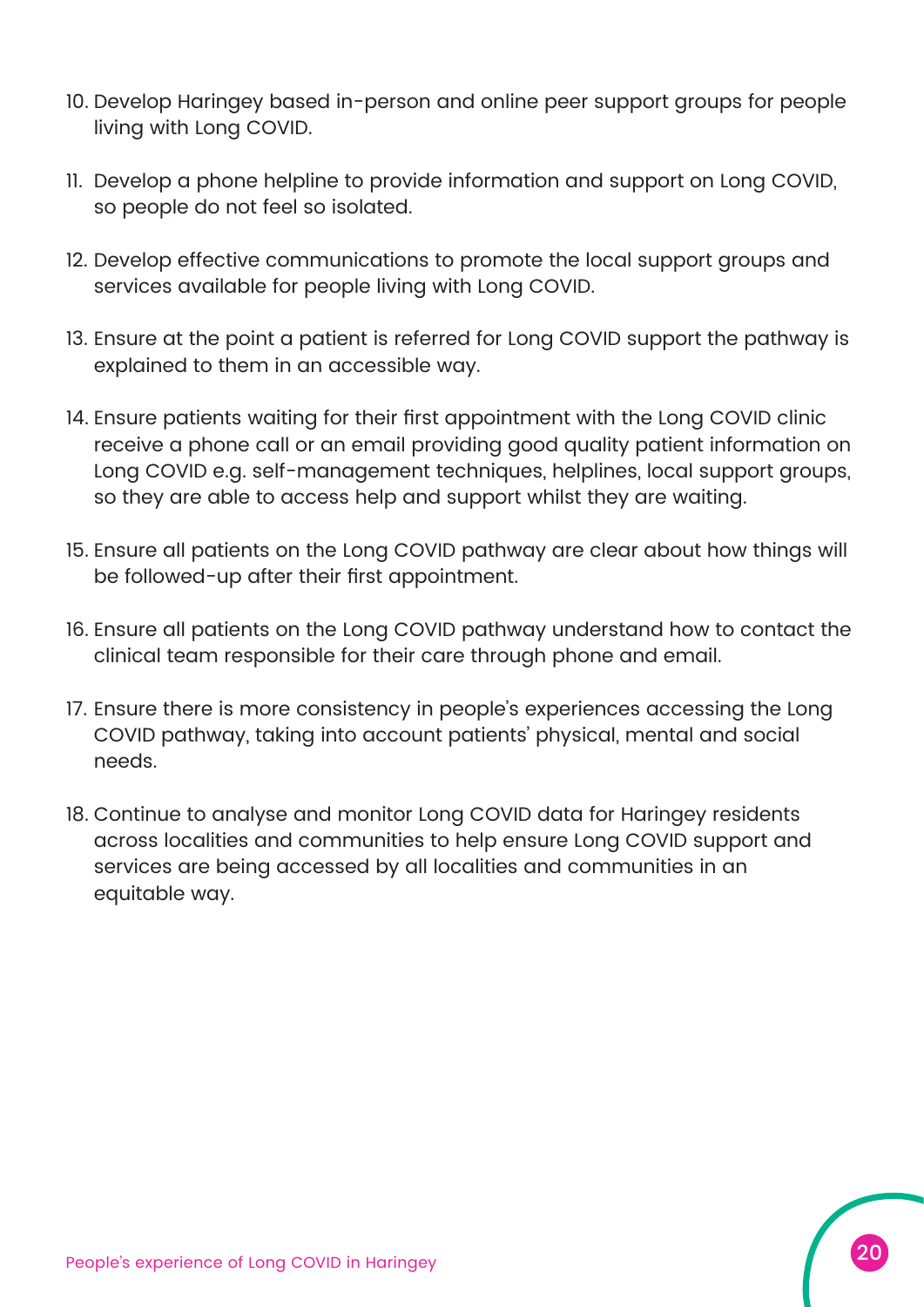- 10. Develop Haringey based in-person and online peer support groups for people living with Long COVID.
- 11. Develop a phone helpline to provide information and support on Long COVID, so people do not feel so isolated.
- 12. Develop effective communications to promote the local support groups and services available for people living with Long COVID.
- 13. Ensure at the point a patient is referred for Long COVID support the pathway is explained to them in an accessible way.
- 14. Ensure patients waiting for their first appointment with the Long COVID clinic receive a phone call or an email providing good quality patient information on Long COVID e.g. self-management techniques, helplines, local support groups, so they are able to access help and support whilst they are waiting.
- 15. Ensure all patients on the Long COVID pathway are clear about how things will be followed-up after their first appointment.
- 16. Ensure all patients on the Long COVID pathway understand how to contact the clinical team responsible for their care through phone and email.
- 17. Ensure there is more consistency in people's experiences accessing the Long COVID pathway, taking into account patients' physical, mental and social needs.
- 18. Continue to analyse and monitor Long COVID data for Haringey residents across localities and communities to help ensure Long COVID support and services are being accessed by all localities and communities in an equitable way.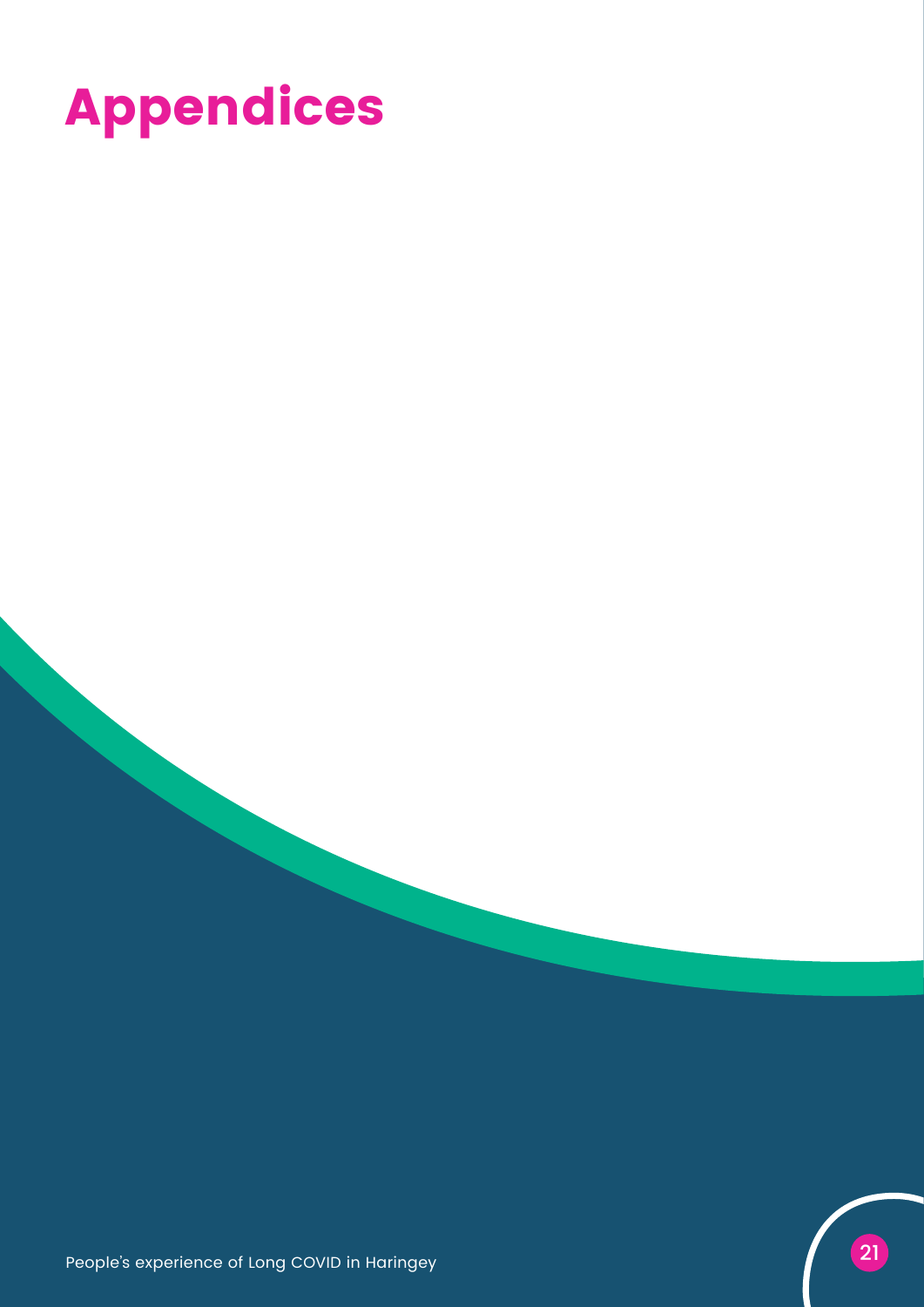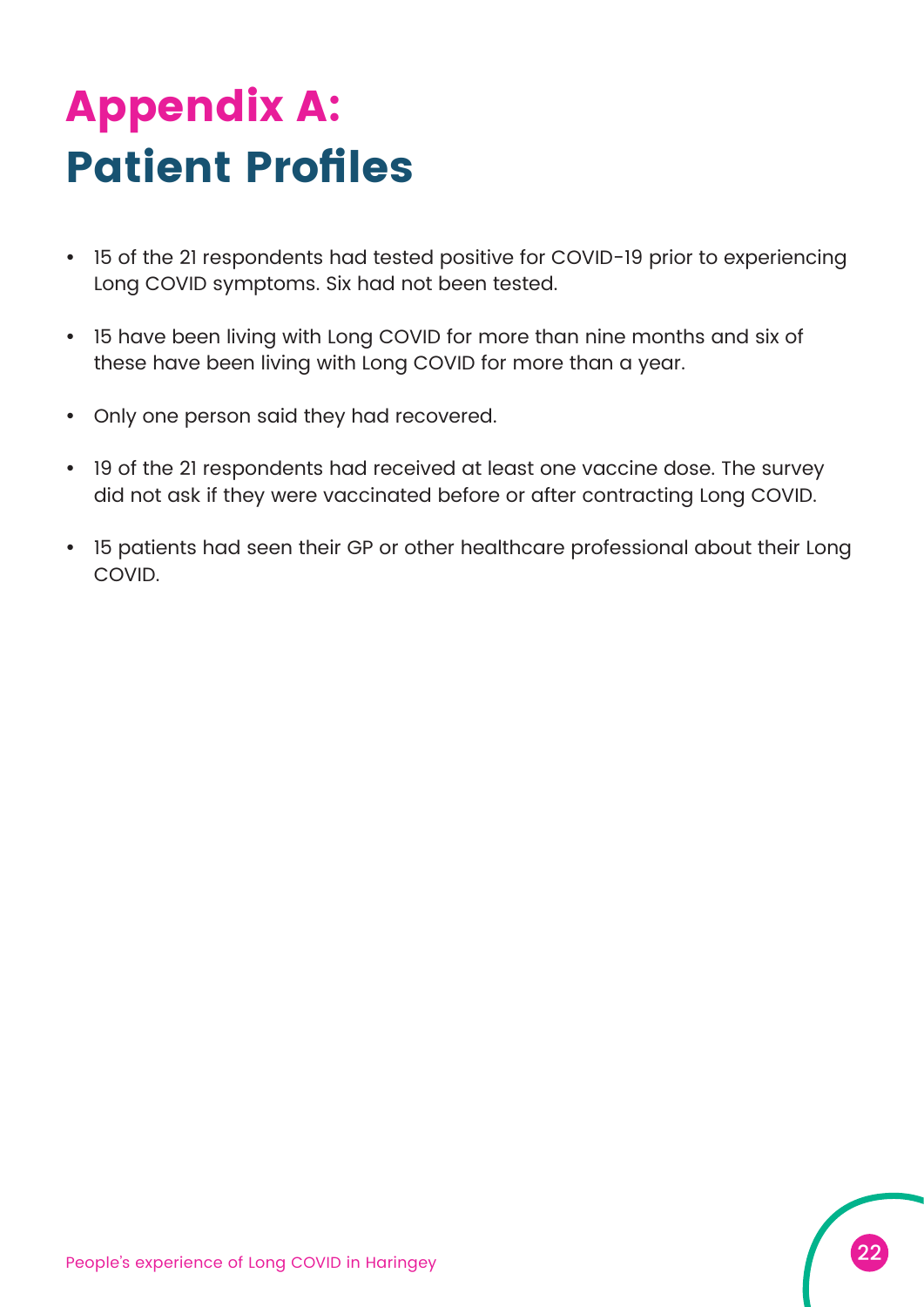# **Appendix A: Patient Profiles**

- 15 of the 21 respondents had tested positive for COVID-19 prior to experiencing Long COVID symptoms. Six had not been tested.
- 15 have been living with Long COVID for more than nine months and six of these have been living with Long COVID for more than a year.
- Only one person said they had recovered.
- 19 of the 21 respondents had received at least one vaccine dose. The survey did not ask if they were vaccinated before or after contracting Long COVID.
- 15 patients had seen their GP or other healthcare professional about their Long **COVID**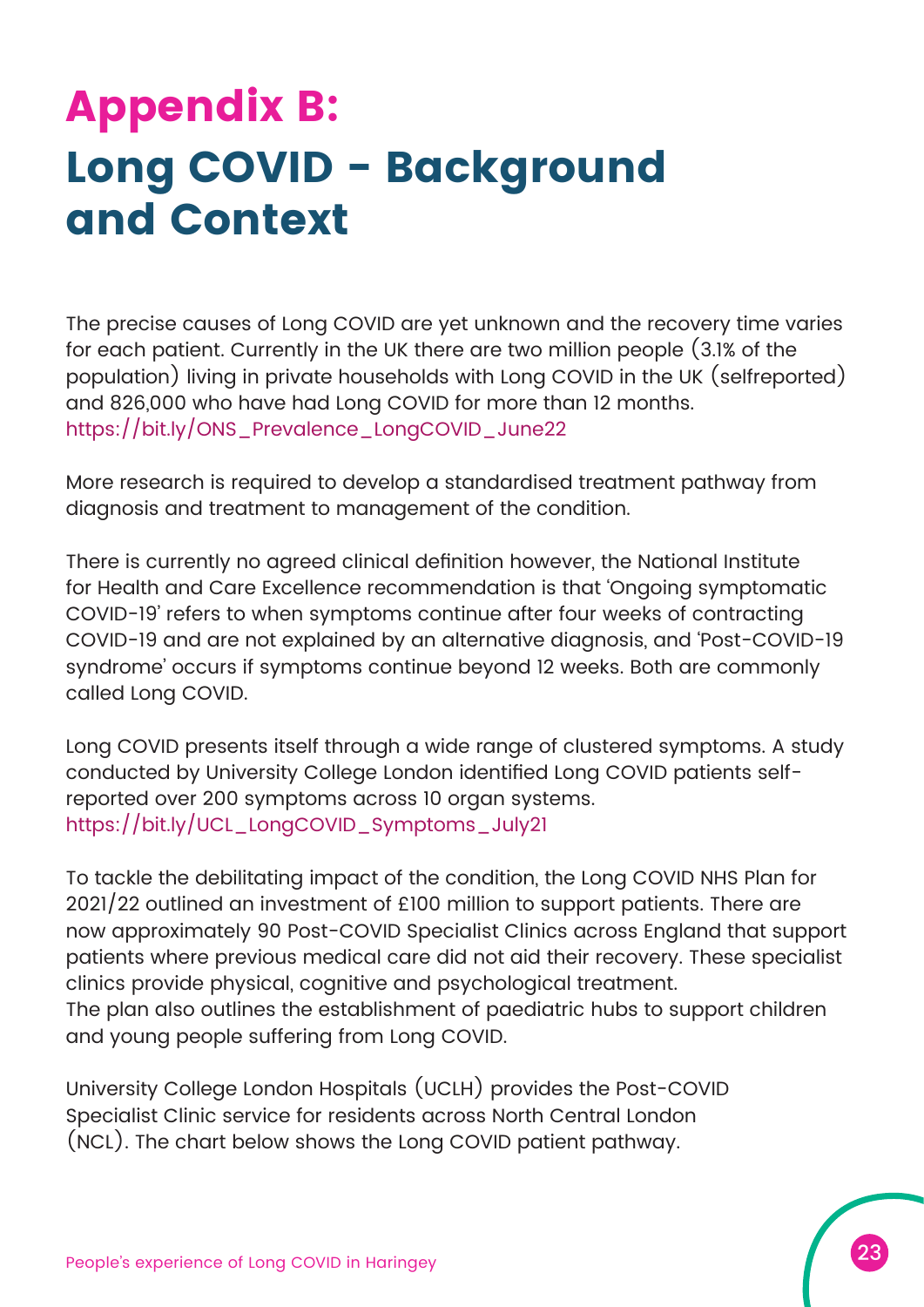## **Appendix B: Long COVID - Background and Context**

The precise causes of Long COVID are yet unknown and the recovery time varies for each patient. Currently in the UK there are two million people (3.1% of the population) living in private households with Long COVID in the UK (selfreported) and 826,000 who have had Long COVID for more than 12 months. [https://bit.ly/ONS\\_Prevalence\\_LongCOVID\\_June22](https://bit.ly/ONS_Prevalence_LongCOVID_June22)

More research is required to develop a standardised treatment pathway from diagnosis and treatment to management of the condition.

There is currently no agreed clinical definition however, the National Institute for Health and Care Excellence recommendation is that 'Ongoing symptomatic COVID-19' refers to when symptoms continue after four weeks of contracting COVID-19 and are not explained by an alternative diagnosis, and 'Post-COVID-19 syndrome' occurs if symptoms continue beyond 12 weeks. Both are commonly called Long COVID.

Long COVID presents itself through a wide range of clustered symptoms. A study conducted by University College London identified Long COVID patients selfreported over 200 symptoms across 10 organ systems. [https://bit.ly/UCL\\_LongCOVID\\_Symptoms\\_July21](https://bit.ly/UCL_LongCOVID_Symptoms_July21)

To tackle the debilitating impact of the condition, the Long COVID NHS Plan for 2021/22 outlined an investment of £100 million to support patients. There are now approximately 90 Post-COVID Specialist Clinics across England that support patients where previous medical care did not aid their recovery. These specialist clinics provide physical, cognitive and psychological treatment. The plan also outlines the establishment of paediatric hubs to support children and young people suffering from Long COVID.

University College London Hospitals (UCLH) provides the Post-COVID Specialist Clinic service for residents across North Central London (NCL). The chart below shows the Long COVID patient pathway.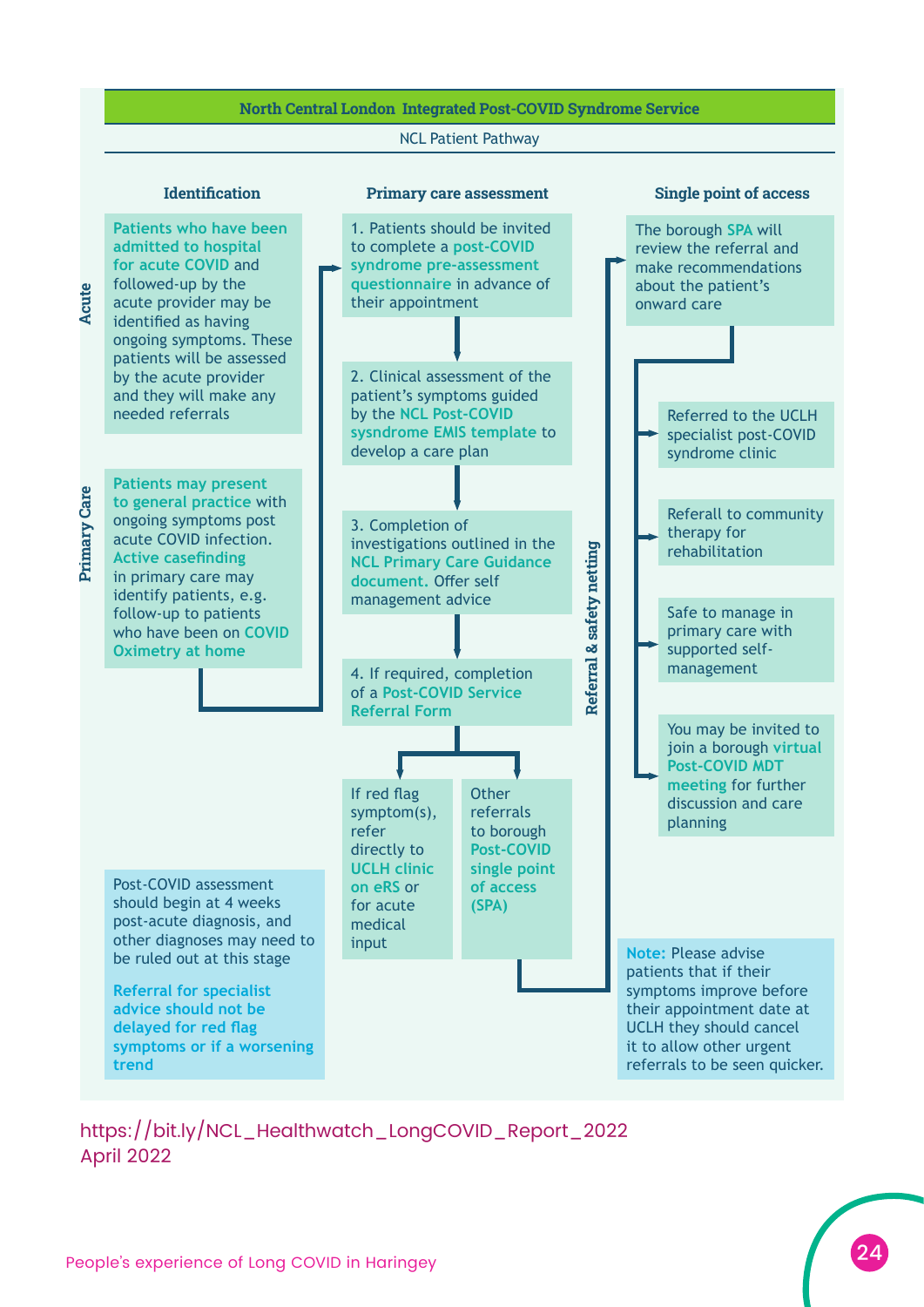### North Central London Integrated Post-COVID Syndrome Service NCL Patient Pathway

Primary Care Acute

**Primary Care** 

Acute

Identification Single point of access Primary care assessment



[https://bit.ly/NCL\\_Healthwatch\\_LongCOVID\\_Report\\_2022](https://bit.ly/NCL_Healthwatch_LongCOVID_Report_2022) April 2022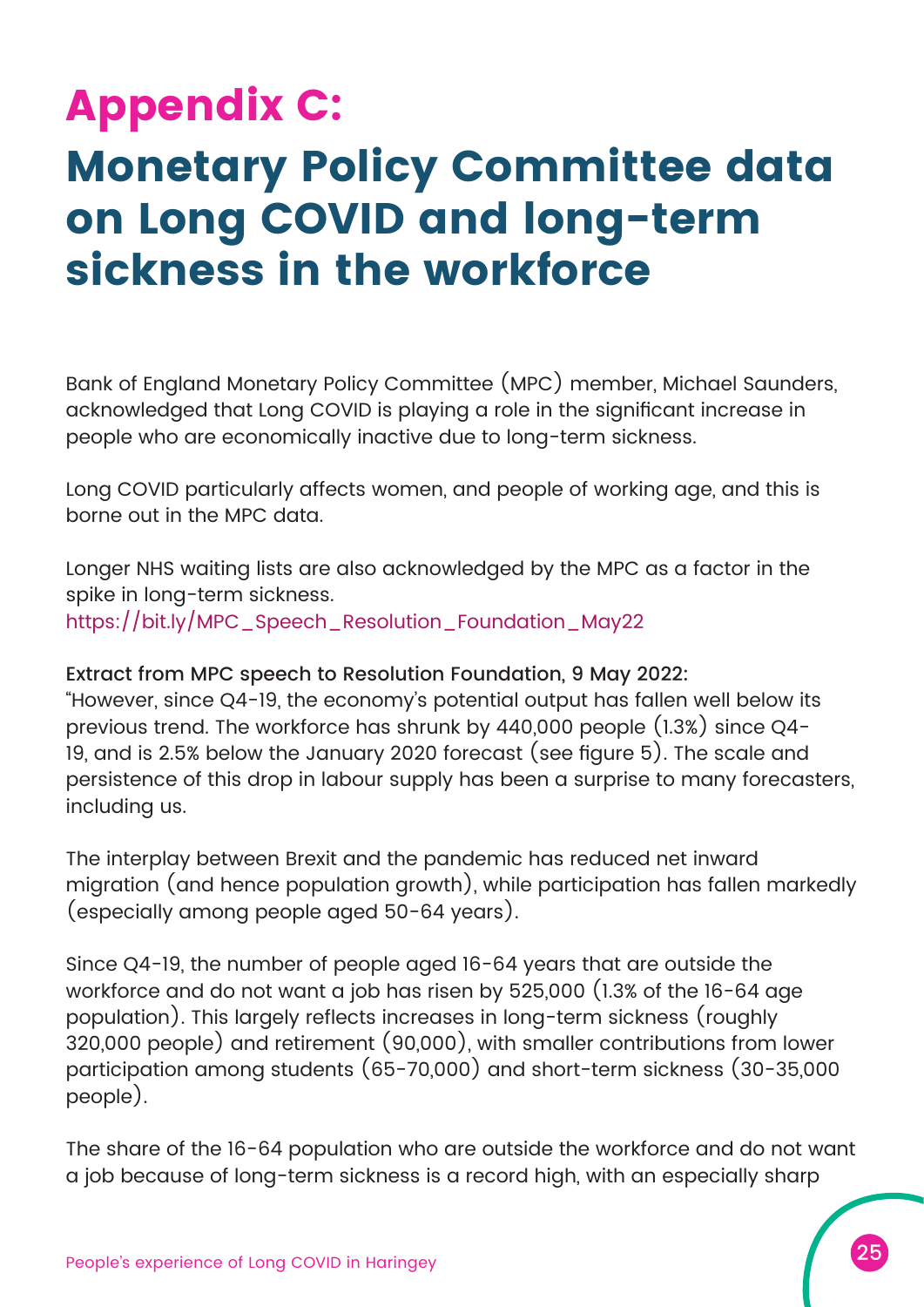### **Appendix C: Monetary Policy Committee data on Long COVID and long-term sickness in the workforce**

Bank of England Monetary Policy Committee (MPC) member, Michael Saunders, acknowledged that Long COVID is playing a role in the significant increase in people who are economically inactive due to long-term sickness.

Long COVID particularly affects women, and people of working age, and this is borne out in the MPC data.

Longer NHS waiting lists are also acknowledged by the MPC as a factor in the spike in long-term sickness. https://bit.ly/MPC Speech Resolution Foundation May22

Extract from MPC speech to Resolution Foundation, 9 May 2022:

"However, since Q4-19, the economy's potential output has fallen well below its previous trend. The workforce has shrunk by 440,000 people (1.3%) since Q4- 19, and is 2.5% below the January 2020 forecast (see figure 5). The scale and persistence of this drop in labour supply has been a surprise to many forecasters, including us.

The interplay between Brexit and the pandemic has reduced net inward migration (and hence population growth), while participation has fallen markedly (especially among people aged 50-64 years).

Since Q4-19, the number of people aged 16-64 years that are outside the workforce and do not want a job has risen by 525,000 (1.3% of the 16-64 age population). This largely reflects increases in long-term sickness (roughly 320,000 people) and retirement (90,000), with smaller contributions from lower participation among students (65-70,000) and short-term sickness (30-35,000 people).

The share of the 16-64 population who are outside the workforce and do not want a job because of long-term sickness is a record high, with an especially sharp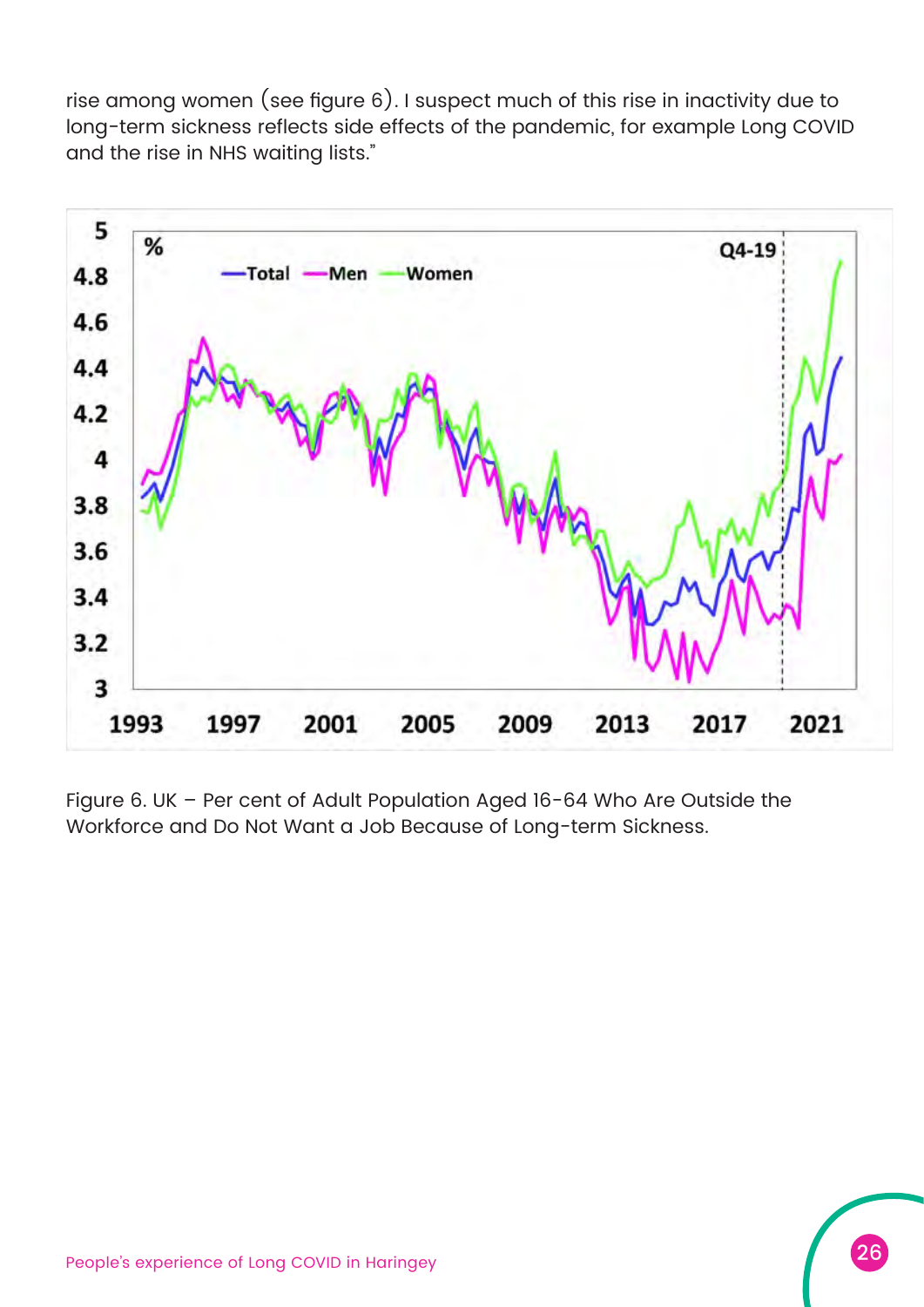rise among women (see figure 6). I suspect much of this rise in inactivity due to long-term sickness reflects side effects of the pandemic, for example Long COVID and the rise in NHS waiting lists."



Figure 6. UK – Per cent of Adult Population Aged 16-64 Who Are Outside the Workforce and Do Not Want a Job Because of Long-term Sickness.